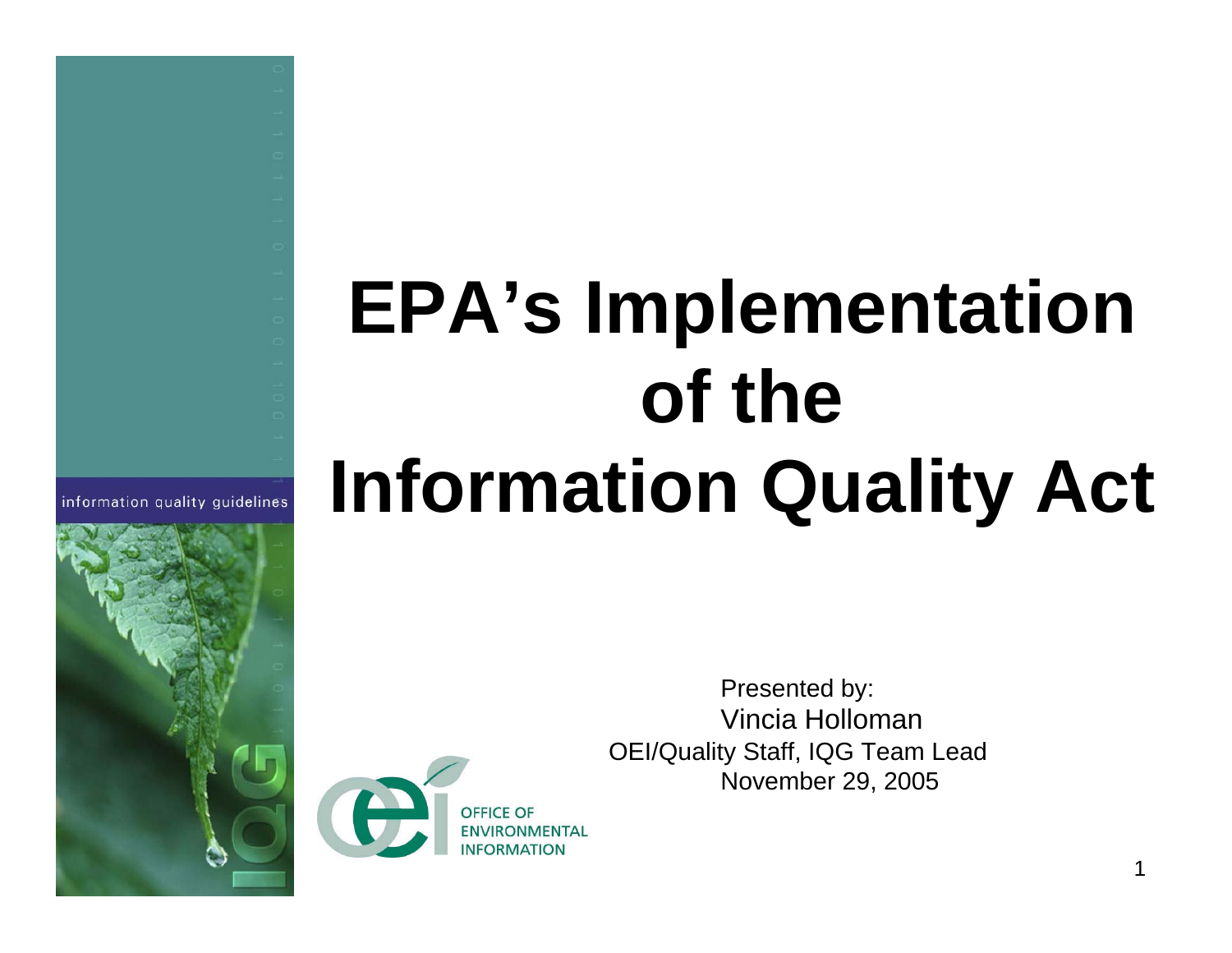# **EPA's Implementation of the Information Quality Act**



Presented by: Vincia HollomanOEI/Quality Staff, IQG Team Lead November 29, 2005

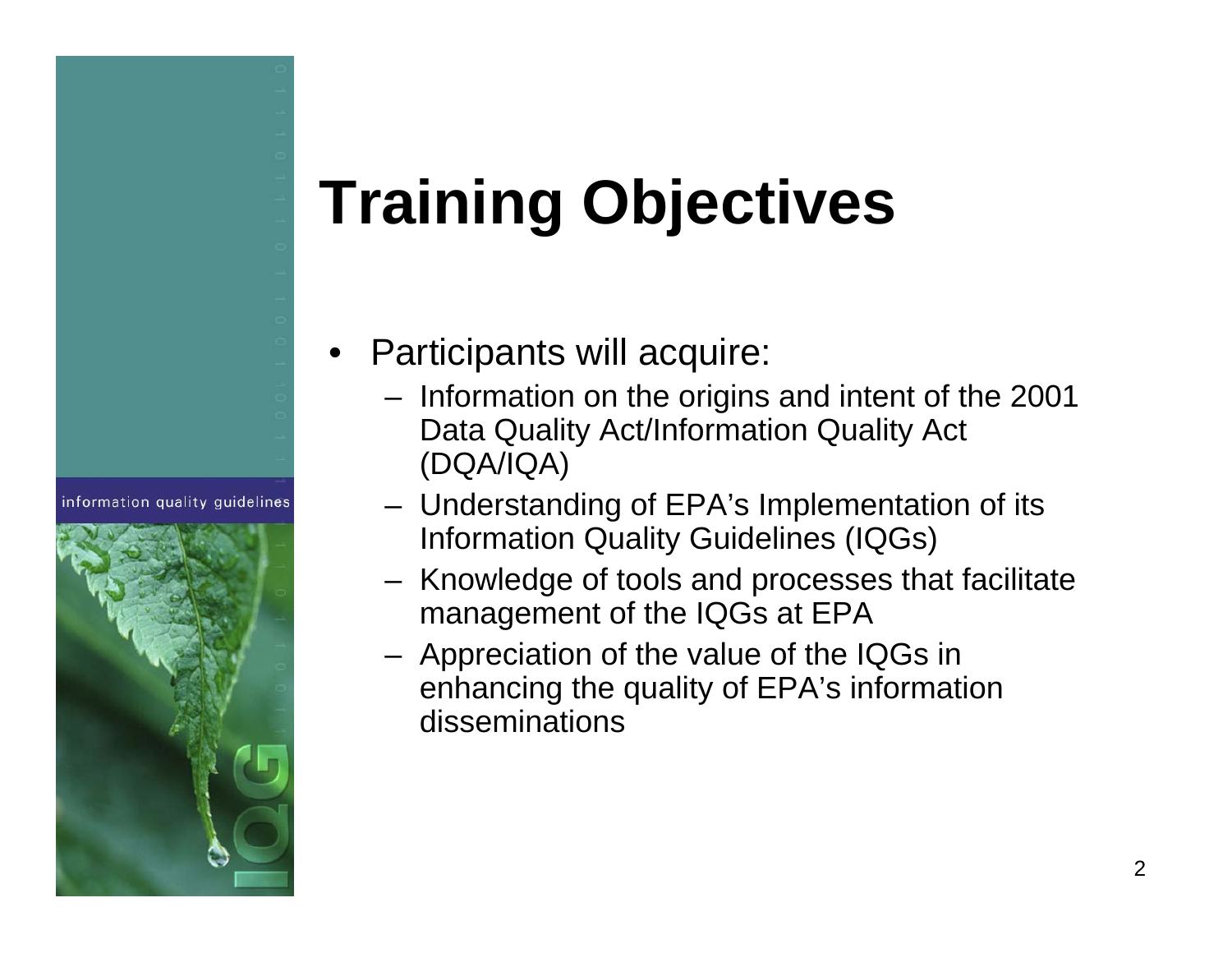# **Training Objectives**

information quality quidelines



- • Participants will acquire:
	- Information on the origins and intent of the 2001 Data Quality Act/Information Quality Act (DQA/IQA)
	- Understanding of EPA's Implementation of its Information Quality Guidelines (IQGs)
	- Knowledge of tools and processes that facilitate management of the IQGs at EPA
	- Appreciation of the value of the IQGs in enhancing the quality of EPA's information disseminations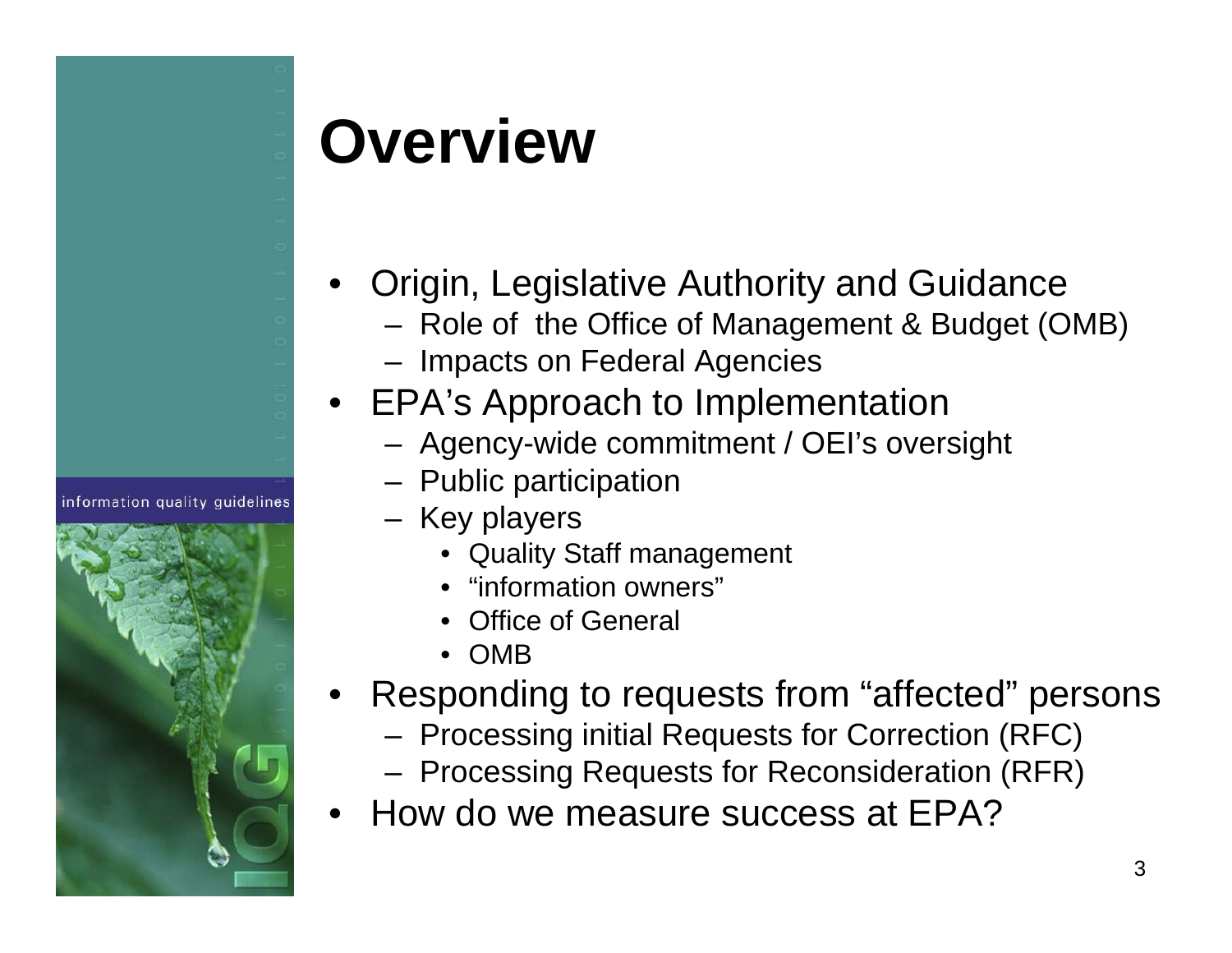

# **Overview**

- • Origin, Legislative Authority and Guidance
	- Role of the Office of Management & Budget (OMB)
	- Impacts on Federal Agencies
- EPA's Approach to Implementation
	- Agency-wide commitment / OEI's oversight
	- Public participation
	- Key players
		- Quality Staff management
		- •"information owners"
		- •Office of General
		- •OMB
- • Responding to requests from "affected" persons
	- Processing initial Requests for Correction (RFC)
	- Processing Requests for Reconsideration (RFR)
- •How do we measure success at EPA?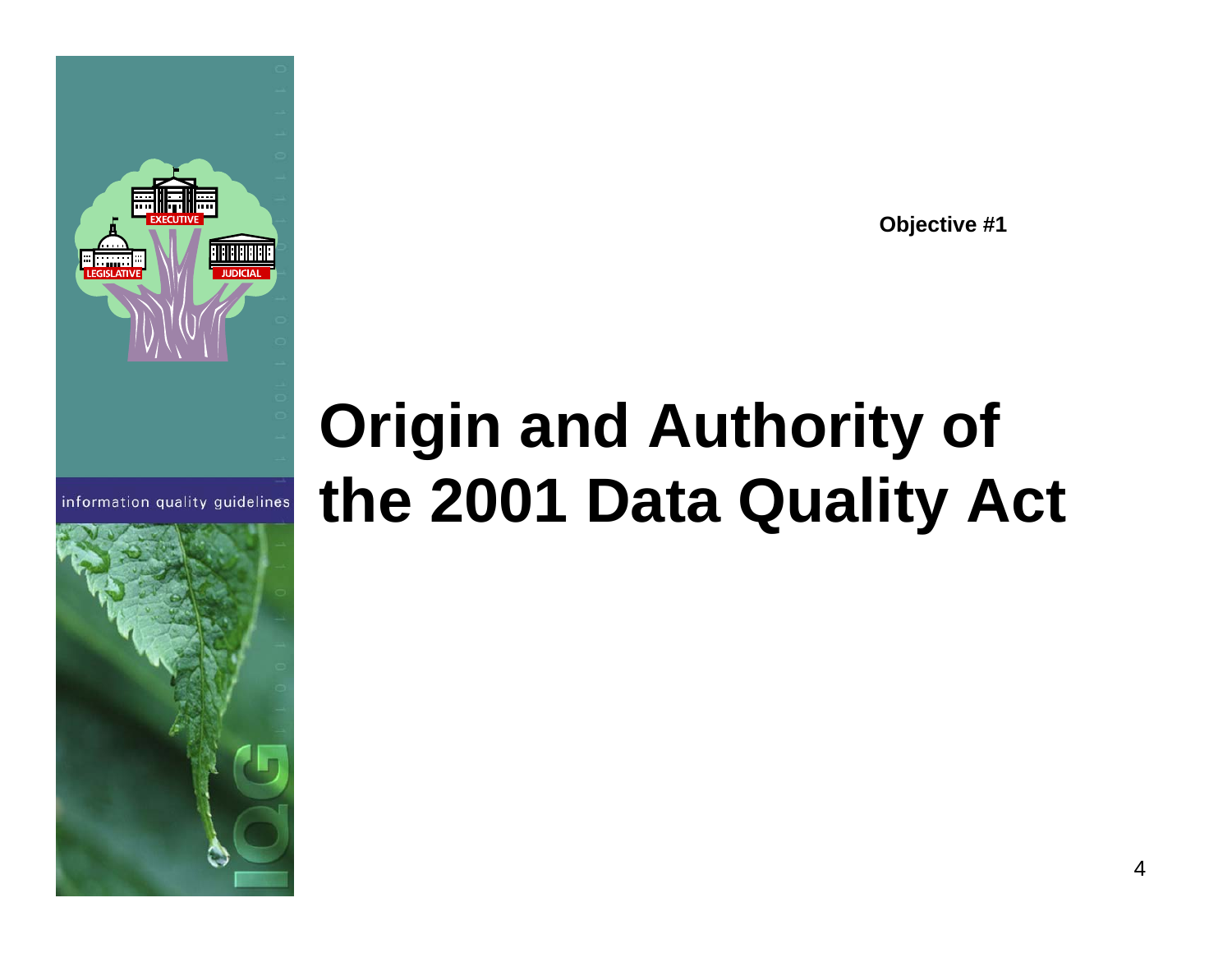**Objective #1**

# **Origin and Authority of the 2001 Data Quality Act**

4



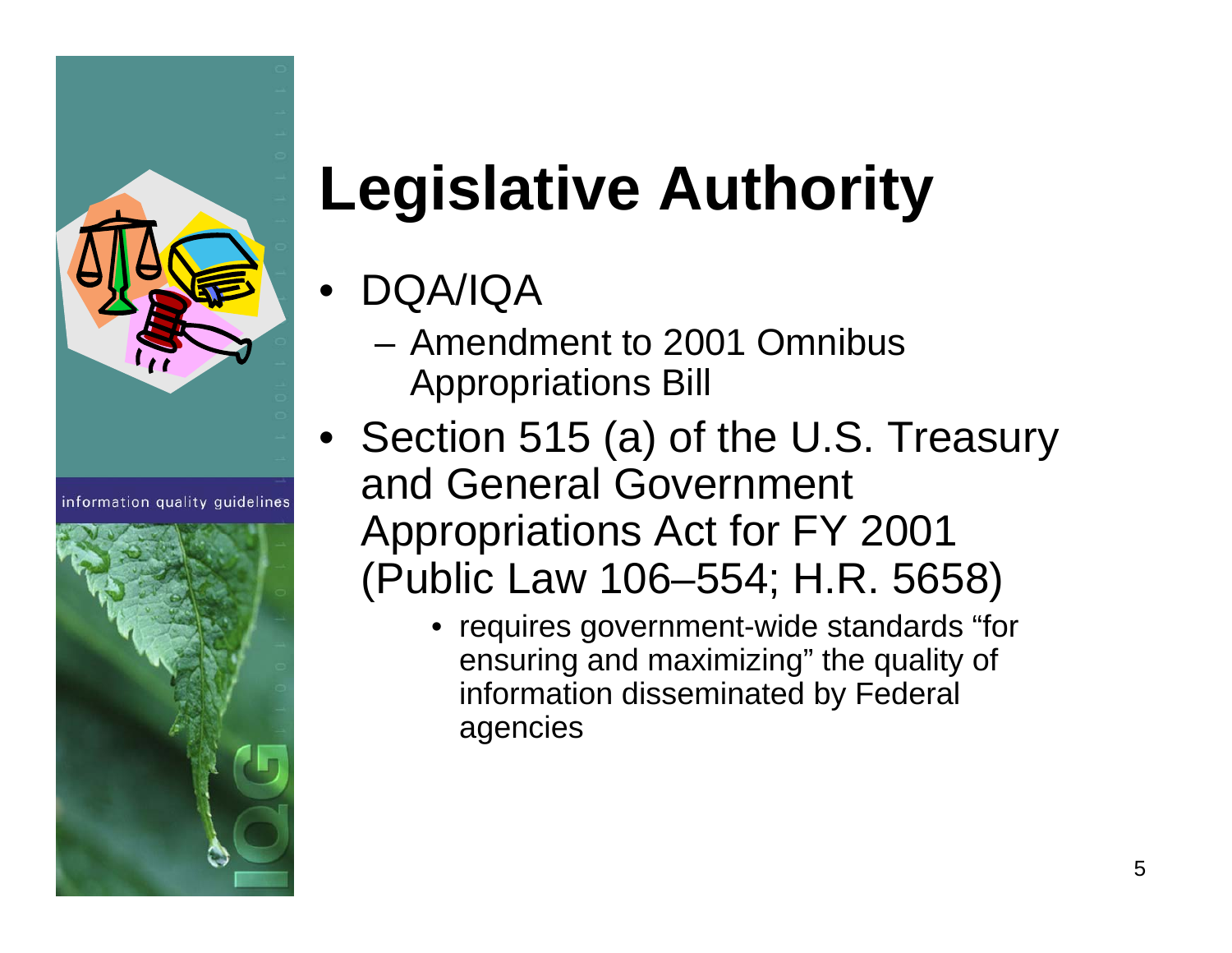

information quality quidelines



# **Legislative Authority**

- • DQA/IQA
	- Amendment to 2001 Omnibus Appropriations Bill
- Section 515 (a) of the U.S. Treasury and General Government Appropriations Act for FY 2001 (Public Law 106–554; H.R. 5658)
	- requires government-wide standards "for ensuring and maximizing" the quality of information disseminated by Federal agencies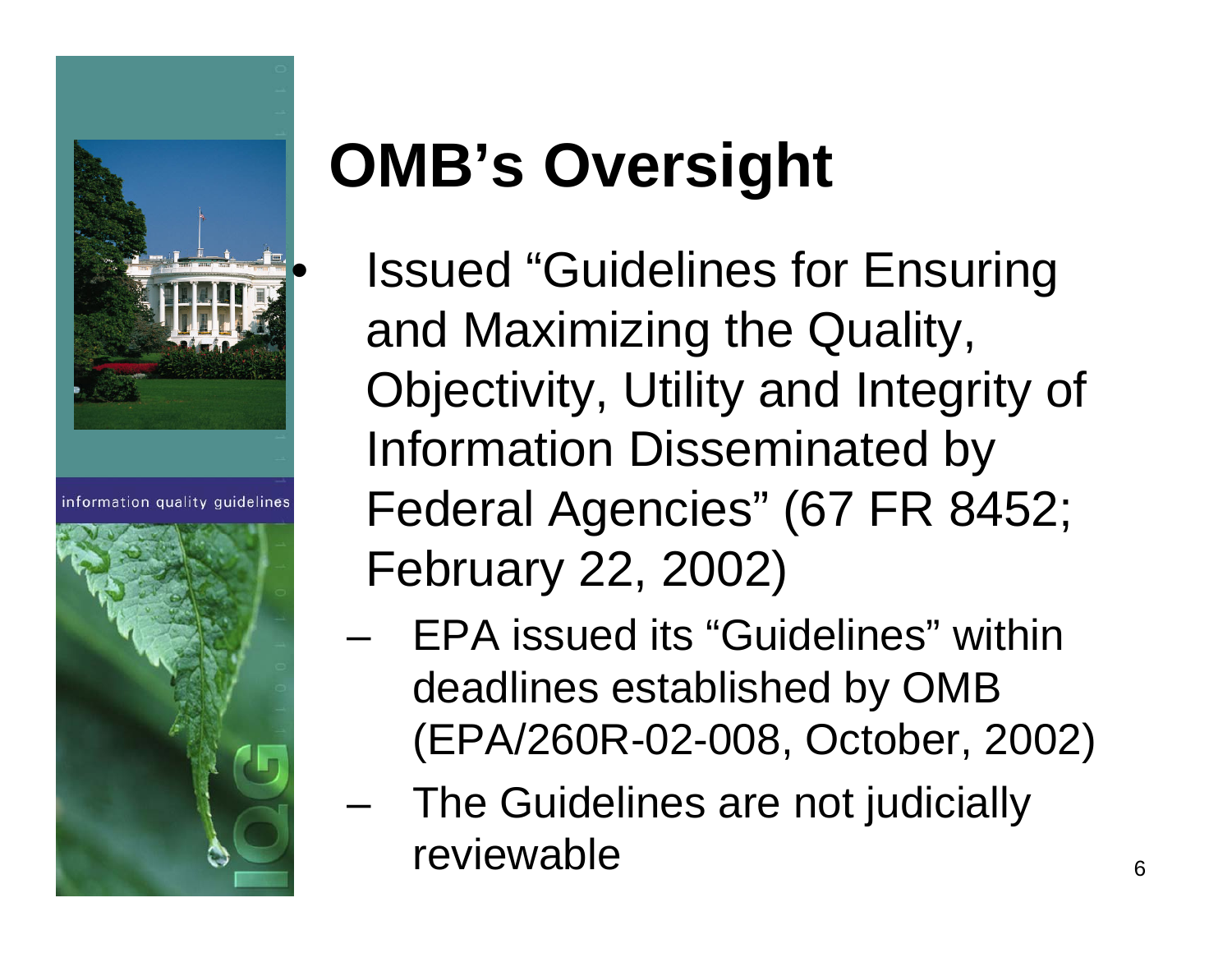

information quality quidelines



# **OMB's Oversight**

- Issued "Guidelines for Ensuring and Maximizing the Quality, Objectivity, Utility and Integrity of Information Disseminated by Federal Agencies" (67 FR 8452; February 22, 2002)
- EPA issued its "Guidelines" within deadlines established by OMB (EPA/260R-02-008, October, 2002)
- and the state of The Guidelines are not judicially reviewable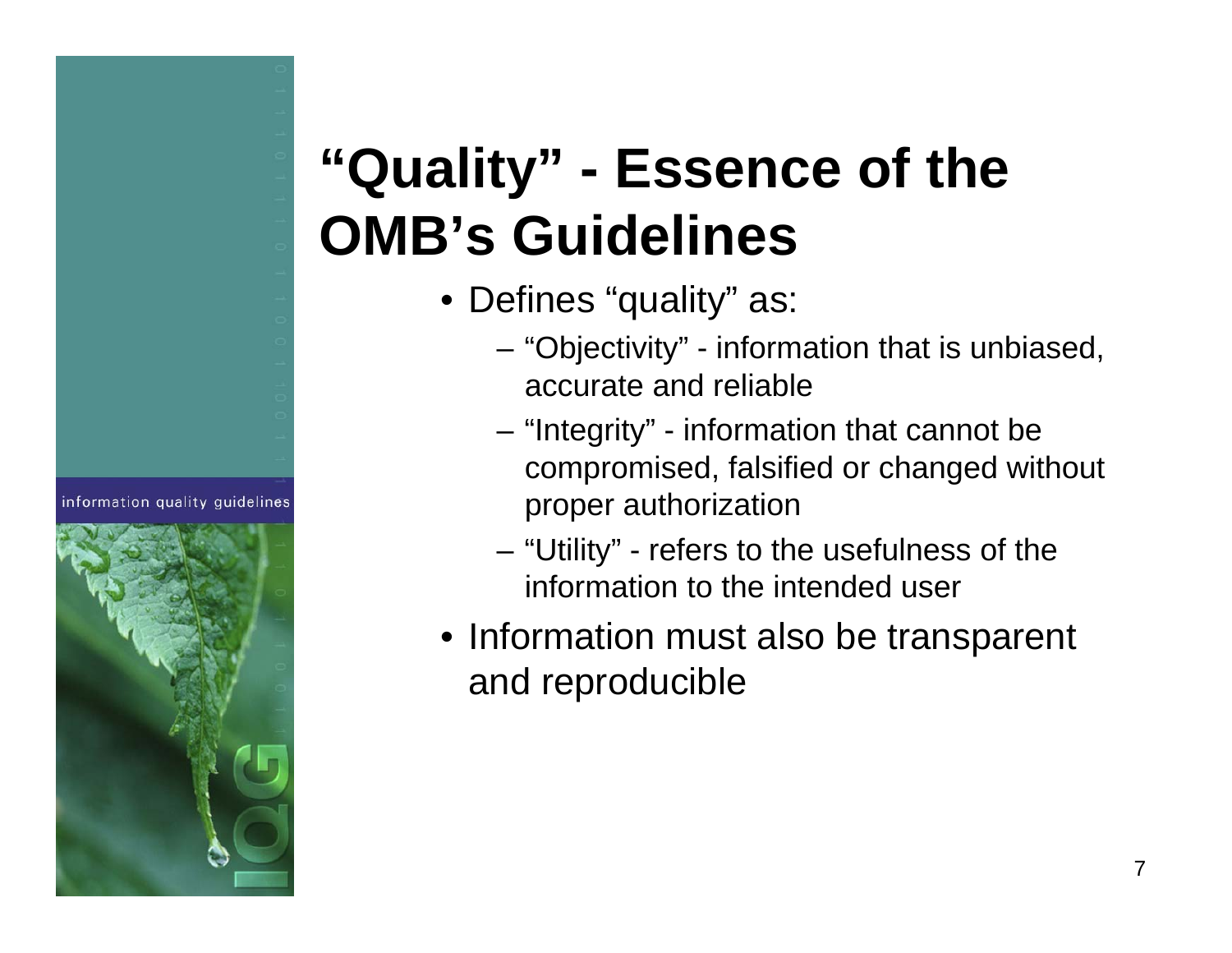### **"Quality" - Essence of the OMB's Guidelines**

- Defines "quality" as:
	- "Objectivity" information that is unbiased, accurate and reliable
	- "Integrity" information that cannot be compromised, falsified or changed without proper authorization
	- "Utility" refers to the usefulness of the information to the intended user
- Information must also be transparent and reproducible



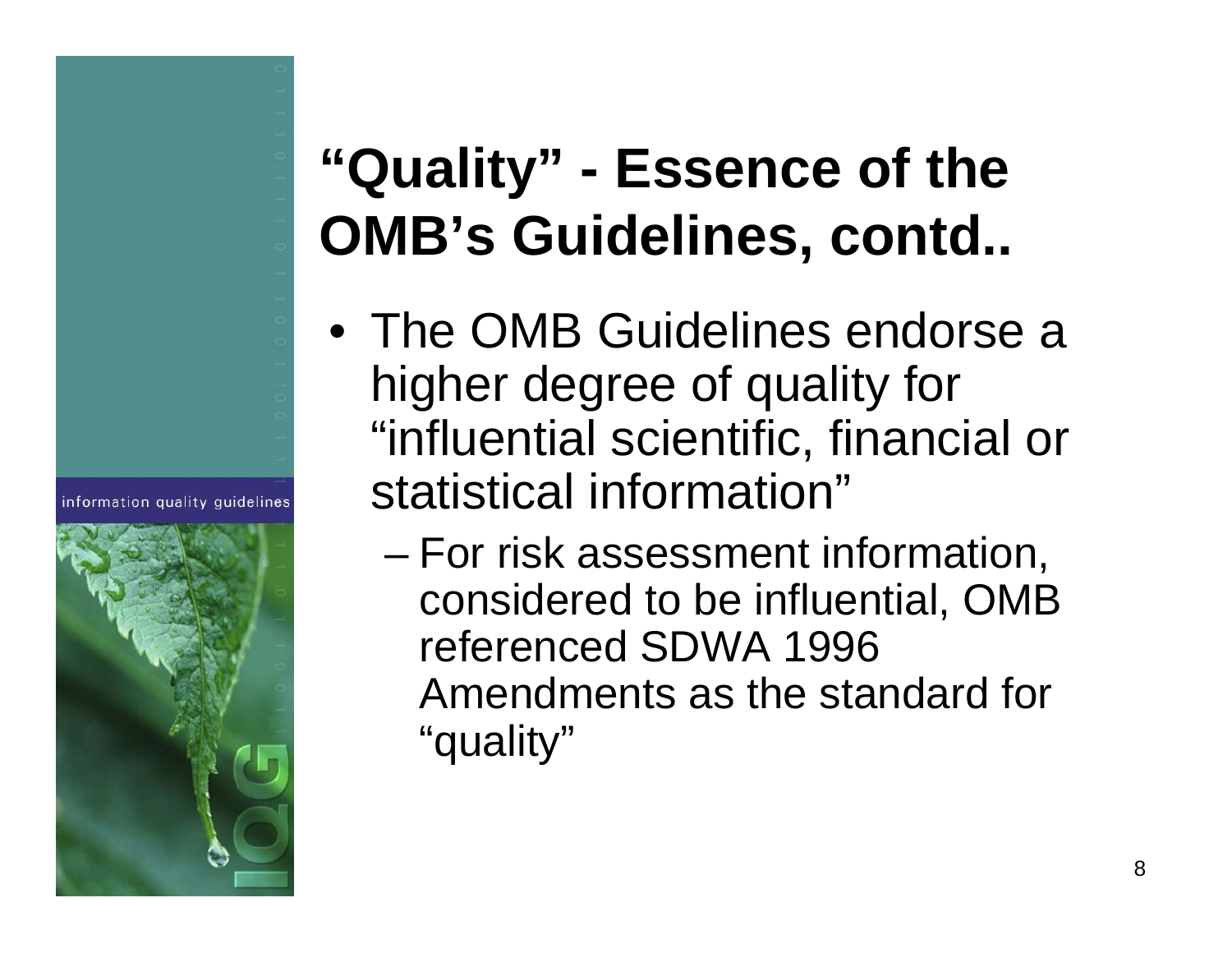### **"Quality" - Essence of the OMB's Guidelines, contd..**

- The OMB Guidelines endorse a higher degree of quality for "influential scientific, financial or statistical information"
	- and the state of the state For risk assessment information, considered to be influential, OMB referenced SDWA 1996 Amendments as the standard for "quality"



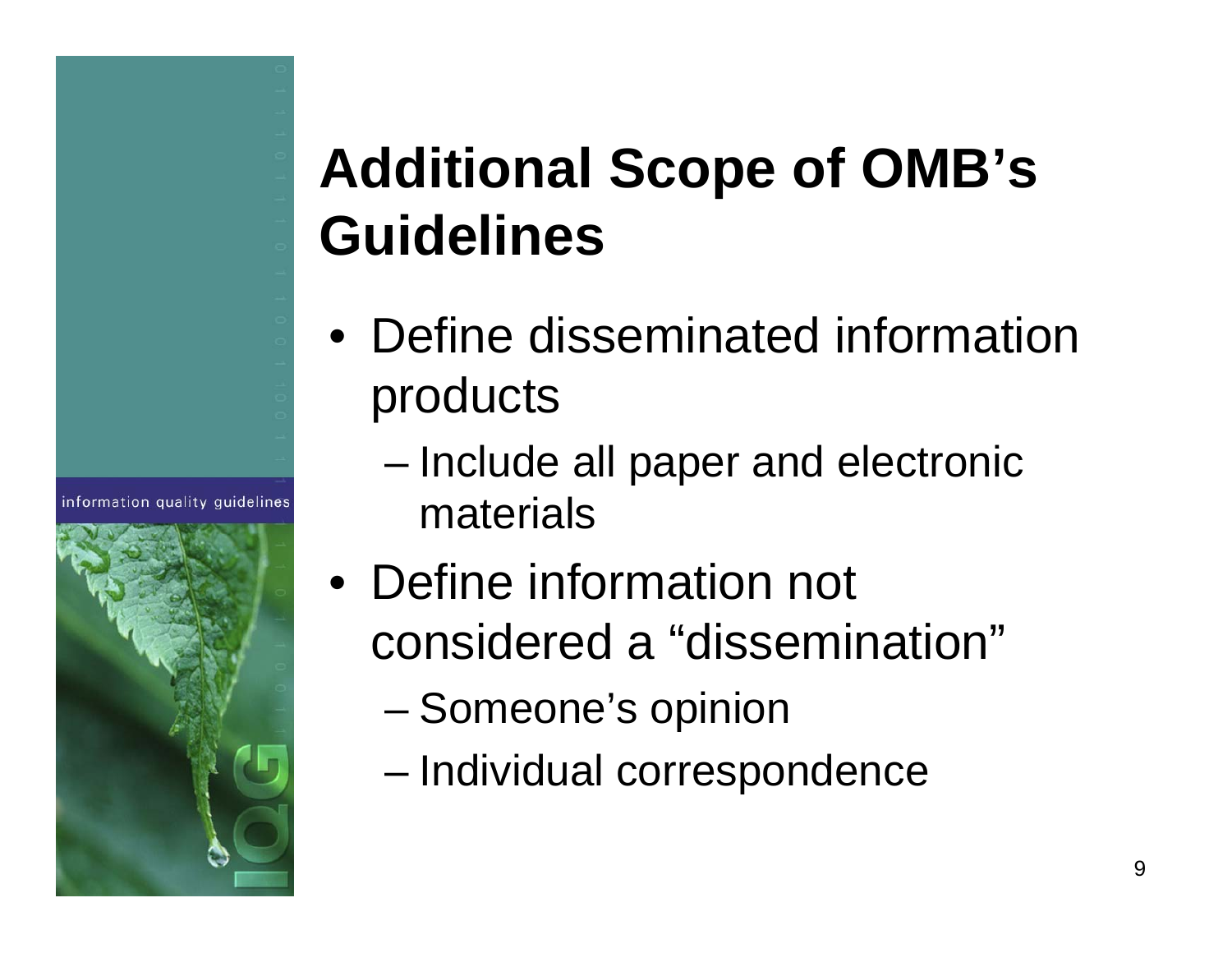## **Additional Scope of OMB's Guidelines**

- Define disseminated information products
	- and the state of the state Include all paper and electronic materials
- Define information not considered a "dissemination"
	- and the state of Someone's opinion

information quality quidelines

and the state of the state Individual correspondence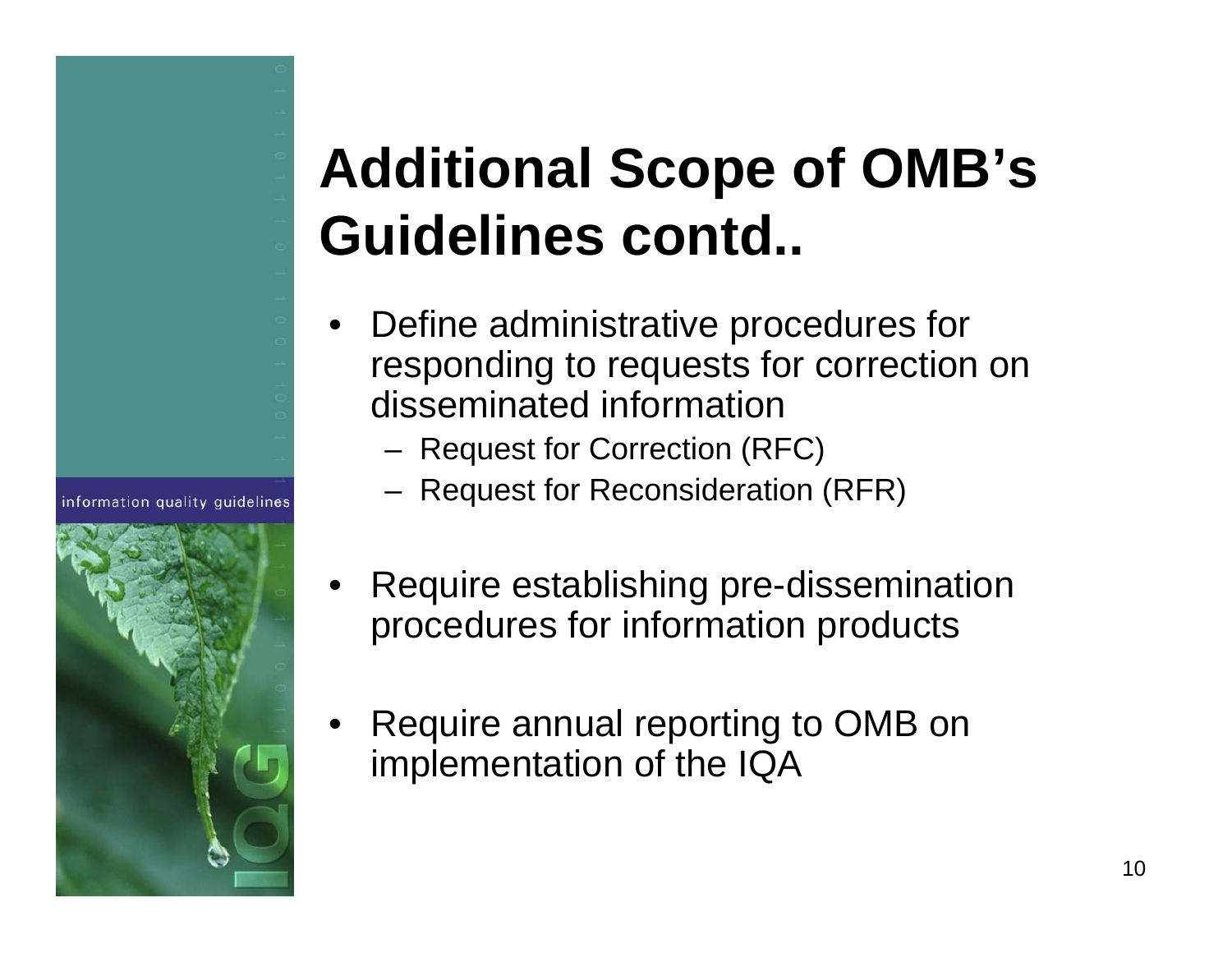## **Additional Scope of OMB's Guidelines contd..**

- • Define administrative procedures for responding to requests for correction on disseminated information
	- Request for Correction (RFC)

- Request for Reconsideration (RFR)
- • Require establishing pre-dissemination procedures for information products
- • Require annual reporting to OMB on implementation of the IQA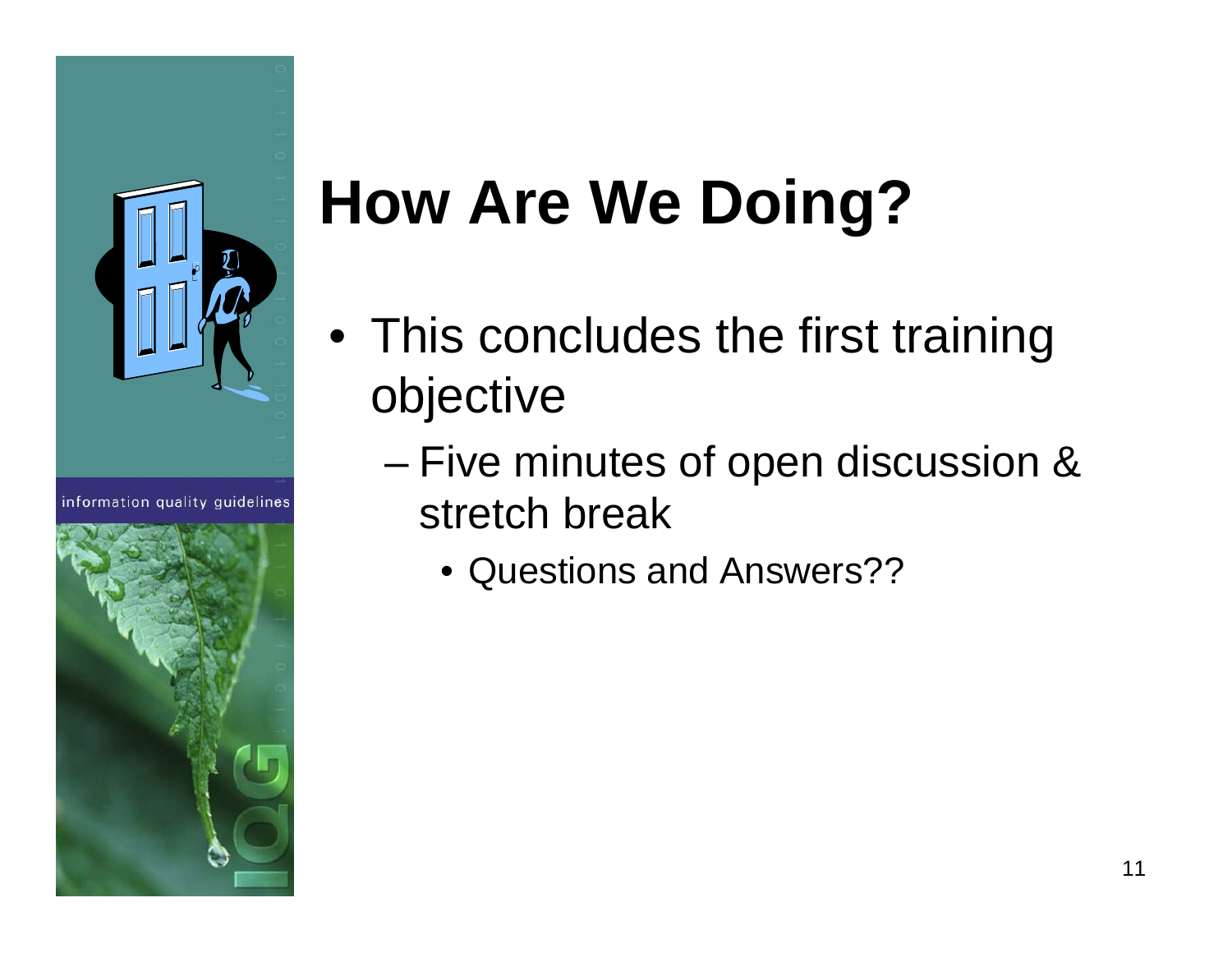

information quality quidelines



# **How Are We Doing?**

- This concludes the first training objective
	- and the state of the state Five minutes of open discussion & stretch break
		- Questions and Answers??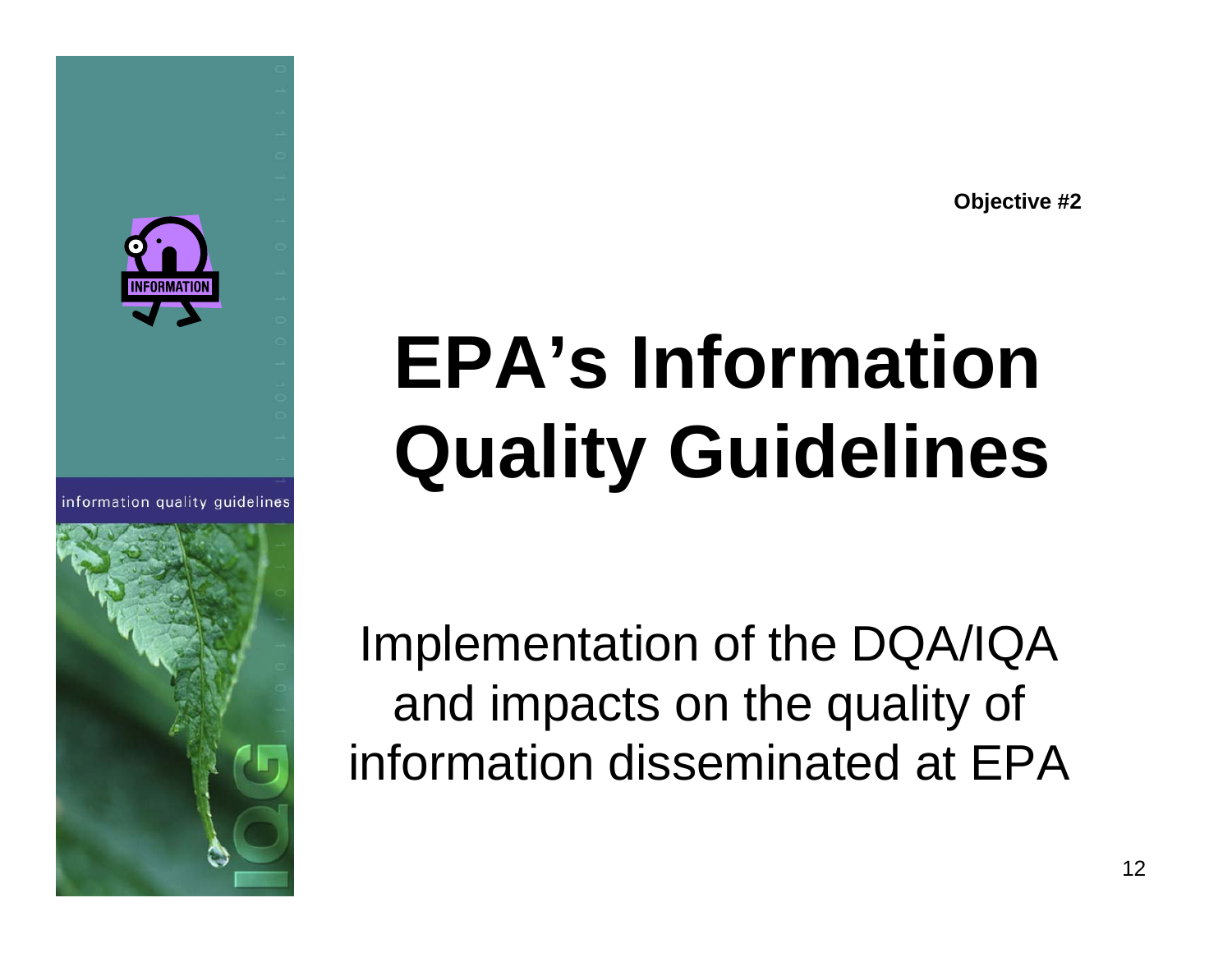**Objective #2**

# **EPA's Information Quality Guidelines**

Implementation of the DQA/IQA and impacts on the quality of information disseminated at EPA



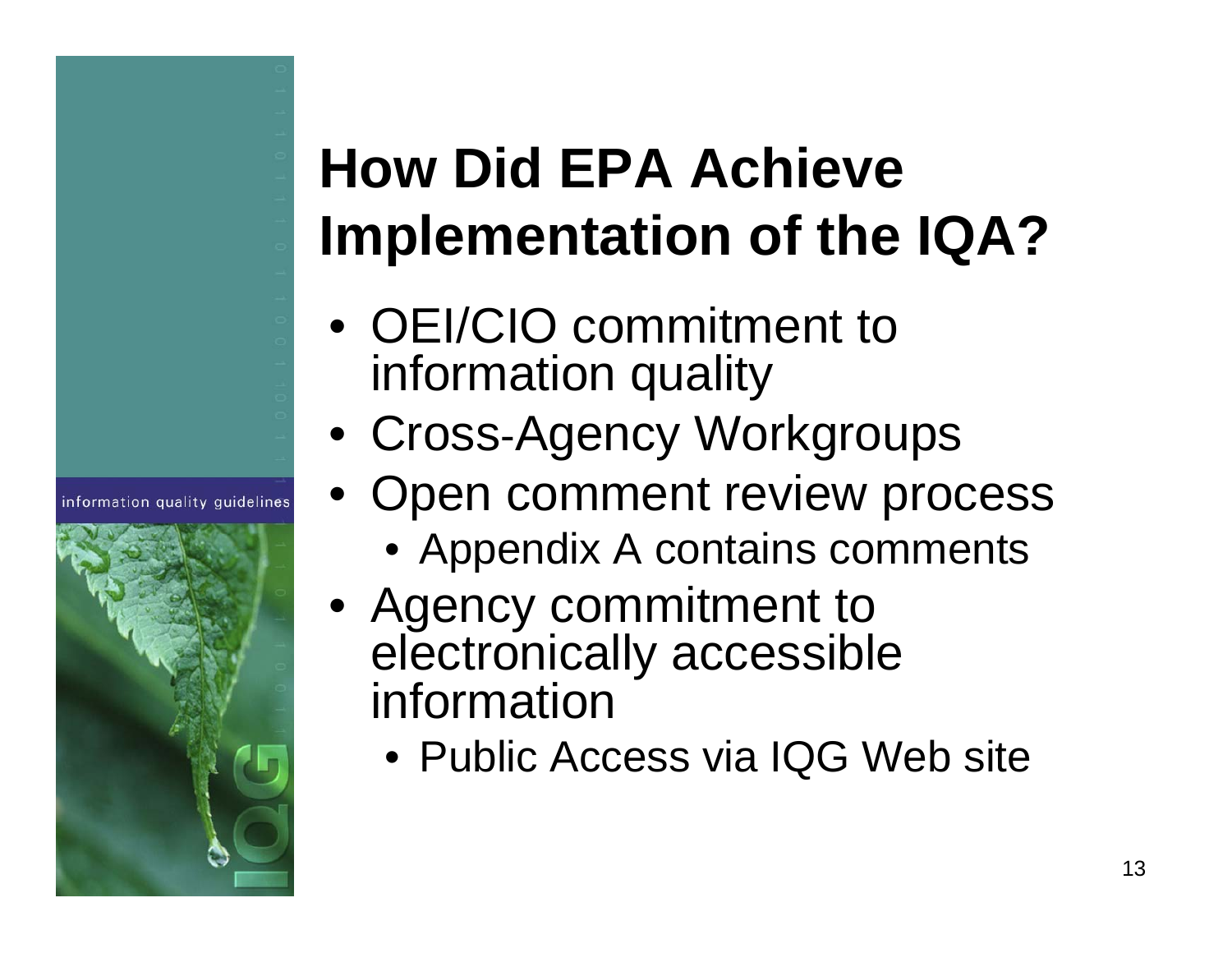# **How Did EPA Achieve Implementation of the IQA?**

• OEI/CIO commitment to information quality

- Cross -Agency Workgroups
- Open comment review process
	- Appendix A contains comments
- Agency commitment to electronically accessible information
	- Public Access via IQG Web site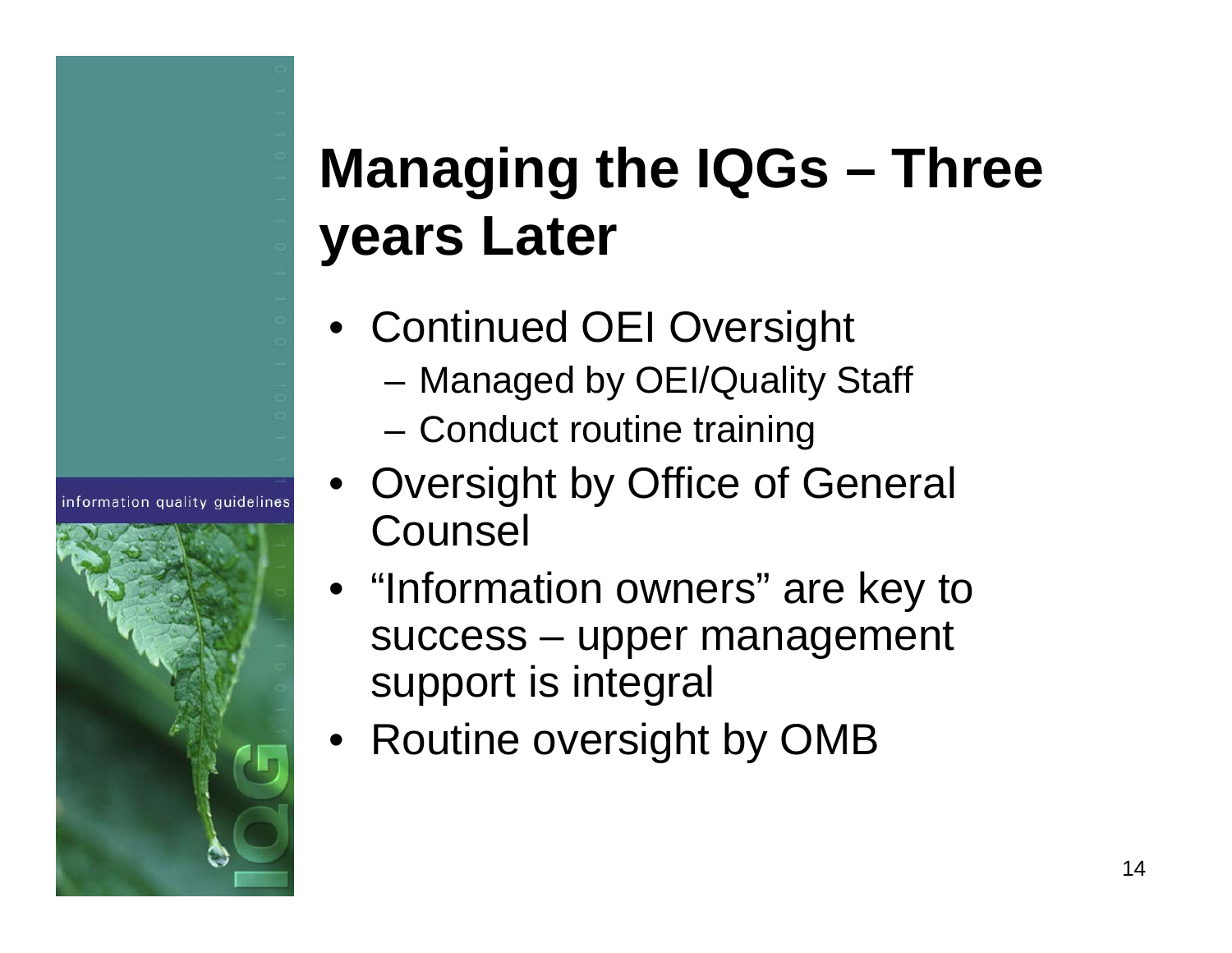## **Managing the IQGs – Three years Later**

- Continued OEI Oversight
	- Managed by OEI/Quality Staff
	- Conduct routine training
- Oversight by Office of General **Counsel**
- "Information owners" are key to success – upper management support is integral
- Routine oversight by OMB

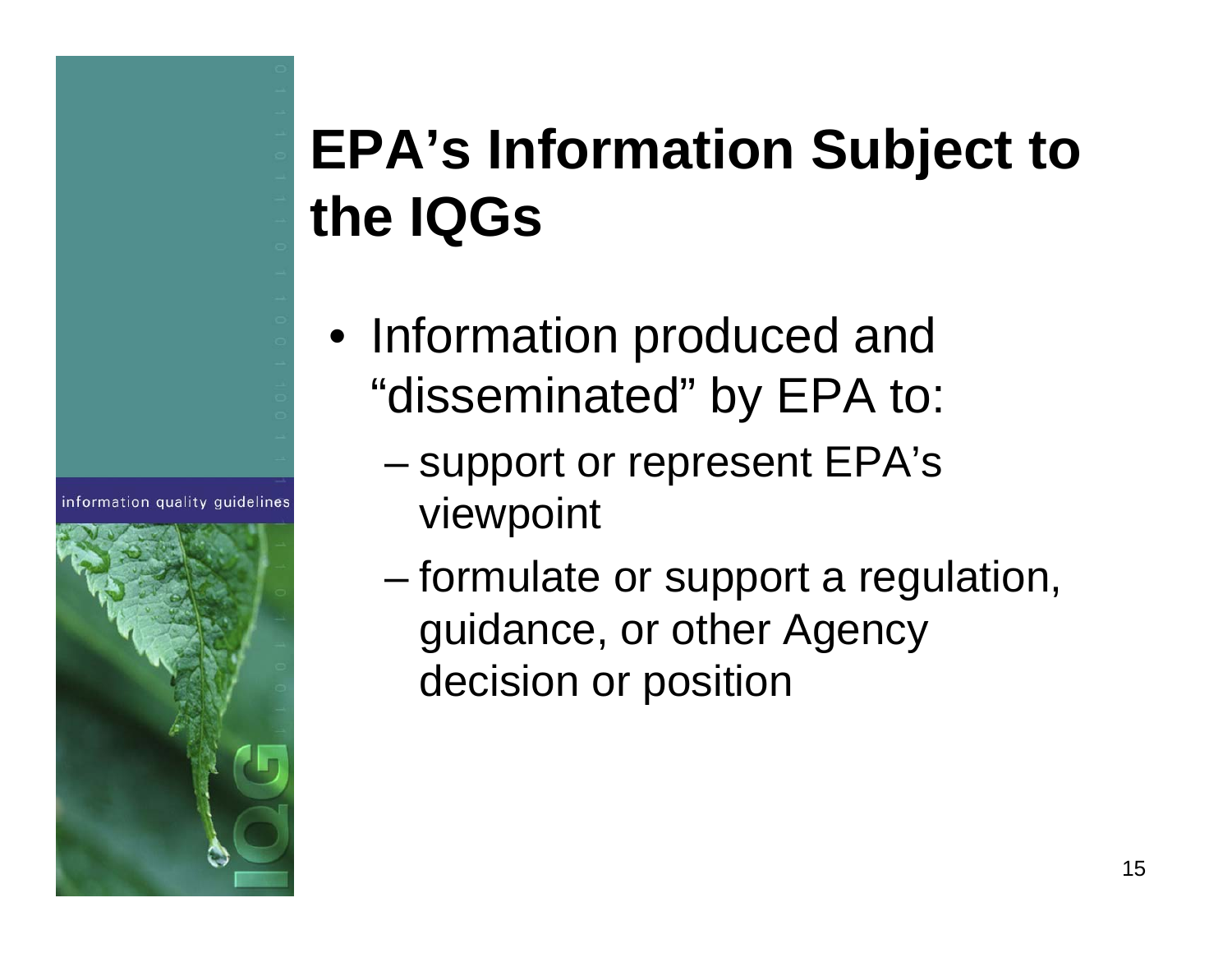## **EPA's Information Subject to the IQGs**

- Information produced and "disseminated" by EPA to:
	- and the state of the state support or represent EPA's viewpoint
		- formulate or support a regulation, guidance, or other Agency decision or position

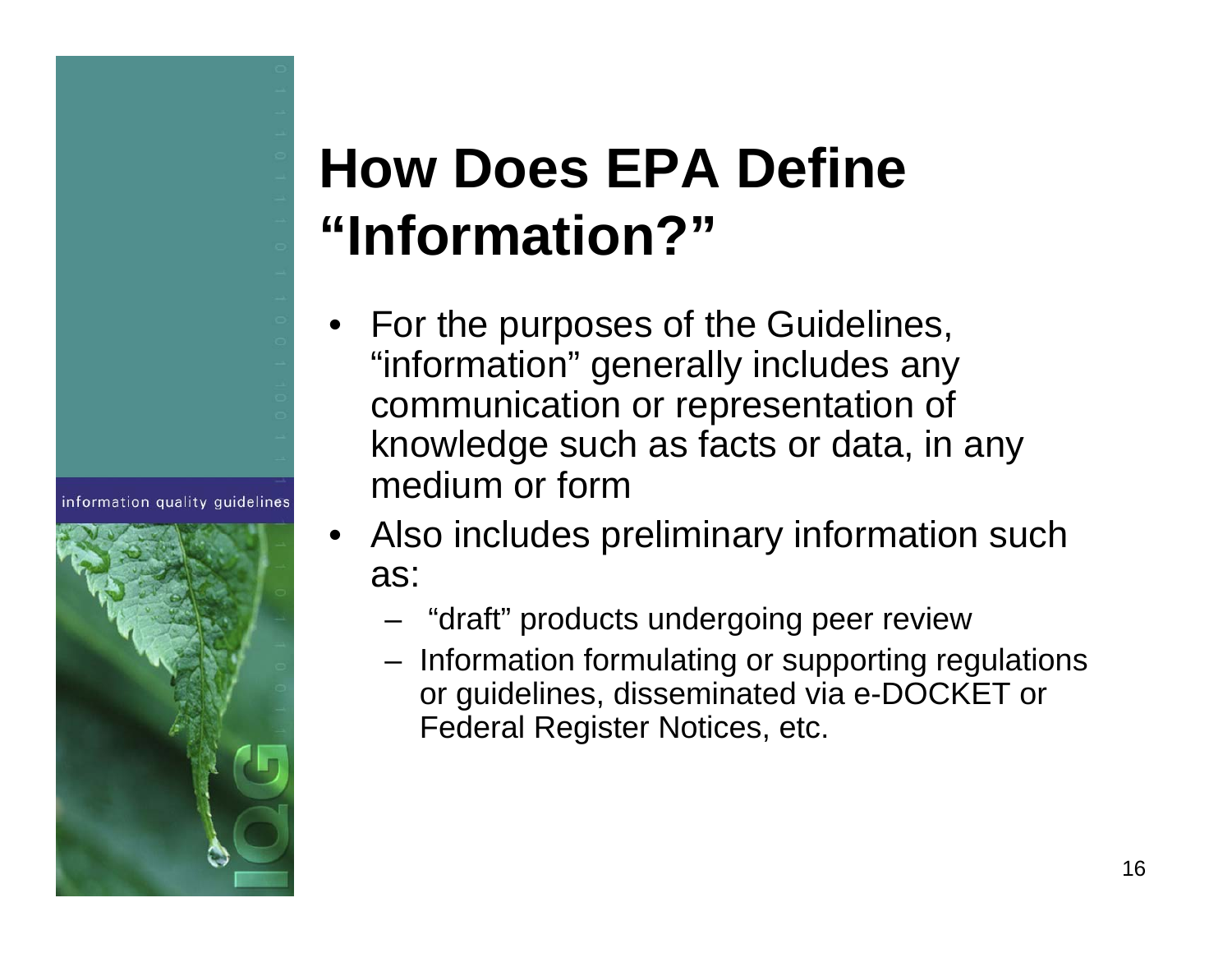### **How Does EPA Define "Information?"**

- • For the purposes of the Guidelines, "information" generally includes any communication or representation of knowledge such as facts or data, in any medium or form
- Also includes preliminary information such as:
	- "draft" products undergoing peer review
	- Information formulating or supporting regulations or guidelines, disseminated via e-DOCKET or Federal Register Notices, etc.



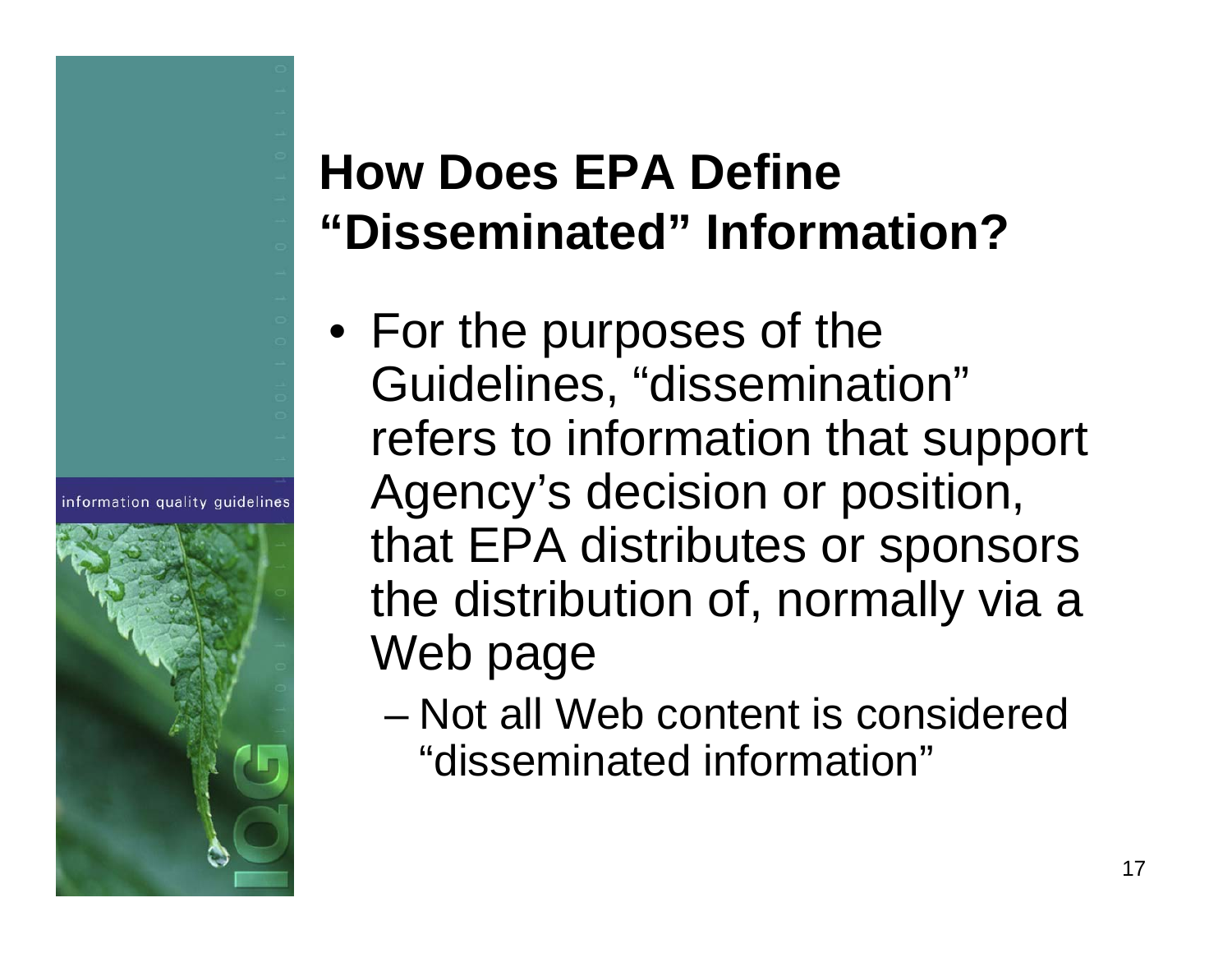#### **How Does EPA Define "Disseminated" Information?**

- For the purposes of the Guidelines, "dissemination" refers to information that support Agency's decision or position, that EPA distributes or sponsors the distribution of, normally via a Web page
	- Not all Web content is considered "disseminated information"

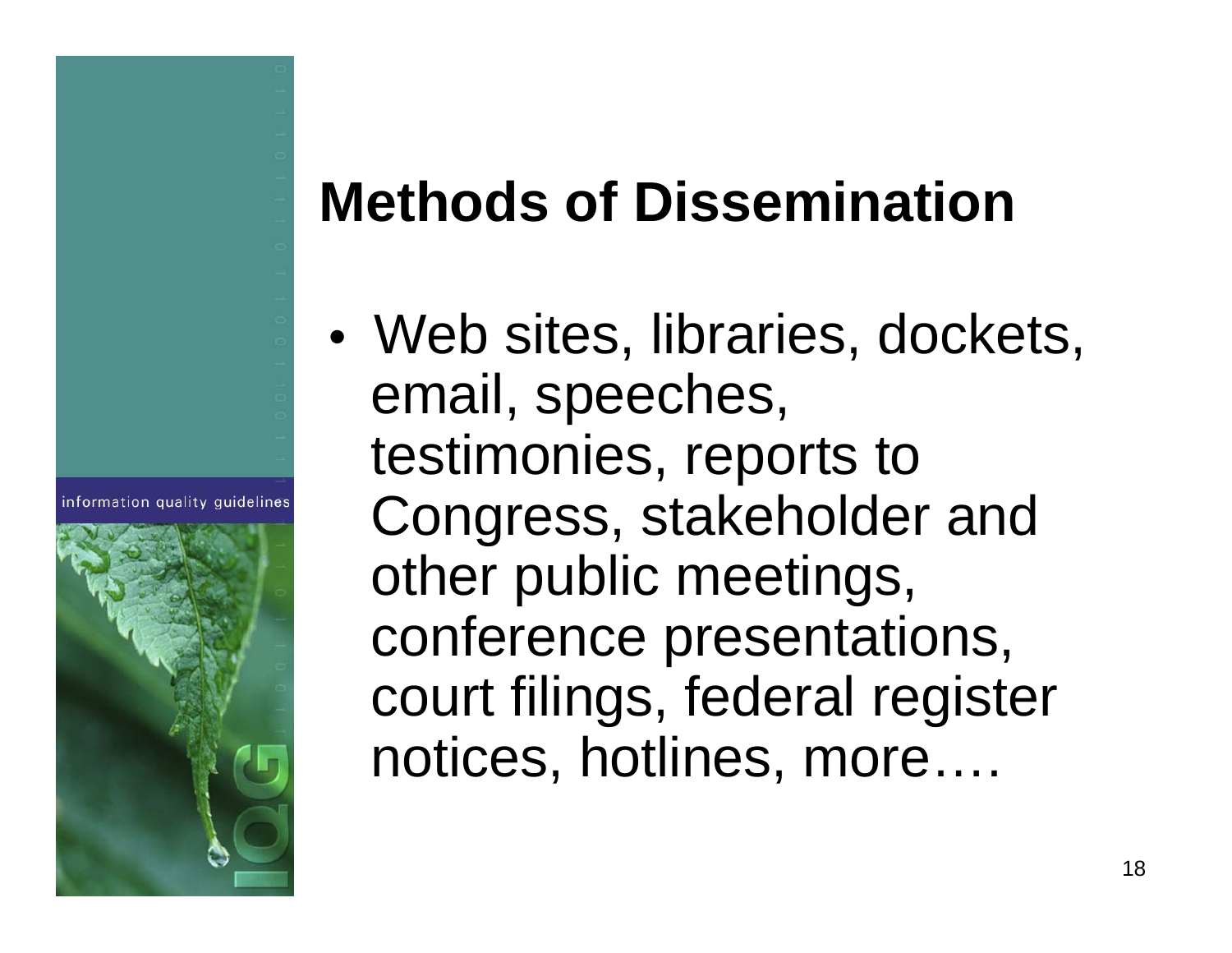### **Methods of Dissemination**

•• Web sites, libraries, dockets, email, speeches, testimonies, reports to Congress, stakeholder and other public meetings, conference presentations, court filings, federal register notices, hotlines, more….



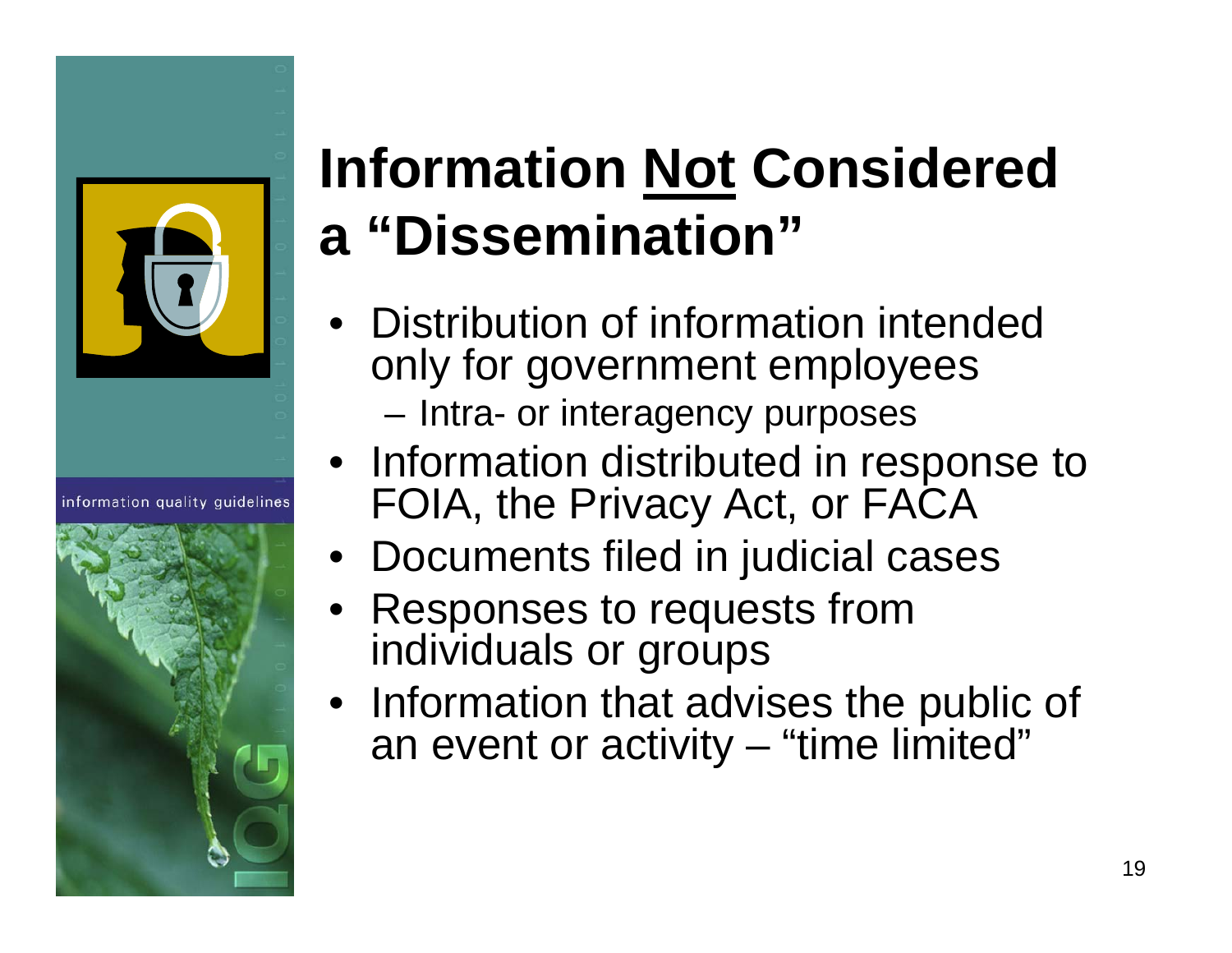

information quality quidelines



# **Information Not Considered a "Dissemination"**

- Distribution of information intended only for government employees Intra- or interagency purposes
- Information distributed in response to FOIA, the Privacy Act, or FACA
- Documents filed in judicial cases
- Responses to requests from individuals or groups
- Information that advises the public of an event or activity – "time limited"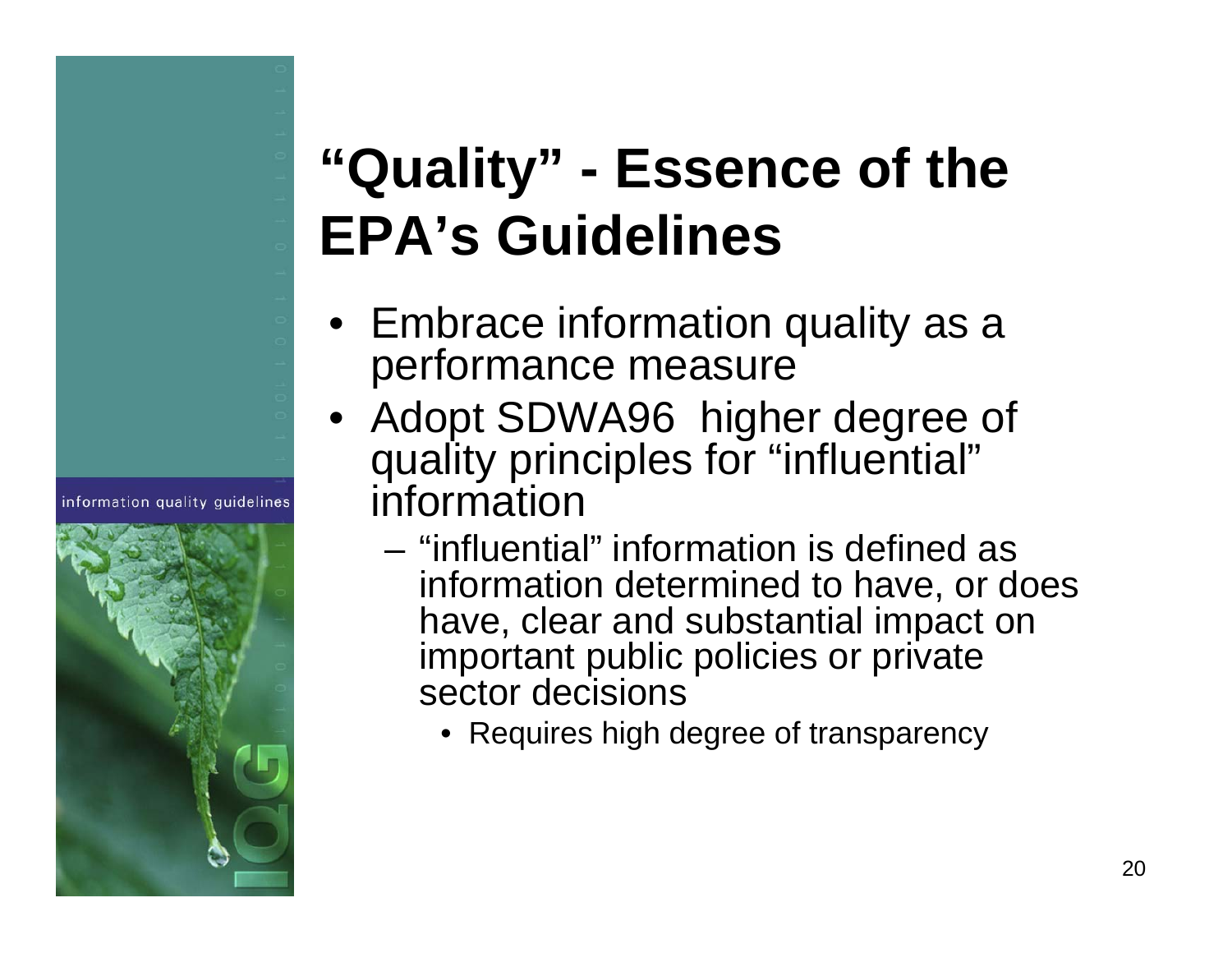### **"Quality" - Essence of the EPA's Guidelines**

- Embrace information quality as a performance measure
- Adopt SDWA96 higher degree of quality principles for "influential" information
	- "influential" information is defined as information determined to have, or does have, clear and substantial impact on important public policies or private sector decisions
		- Requires high degree of transparency

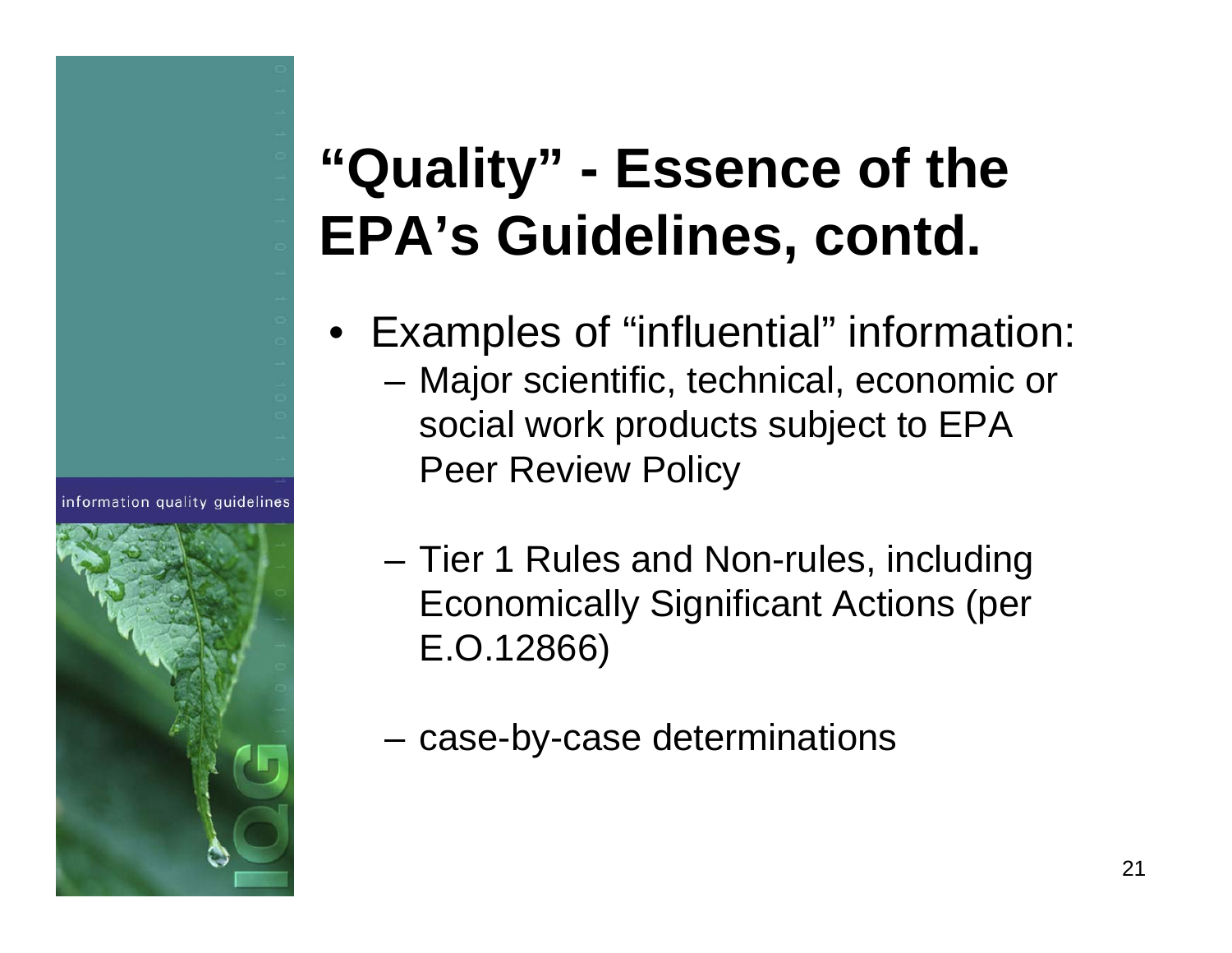### **"Quality" - Essence of the EPA's Guidelines, contd.**

- Examples of "influential" information: Major scientific, technical, economic or social work products subject to EPA Peer Review Policy
	- Tier 1 Rules and Non-rules, including Economically Significant Actions (per E.O.12866)
	- **Links of the Common** case-by-case determinations

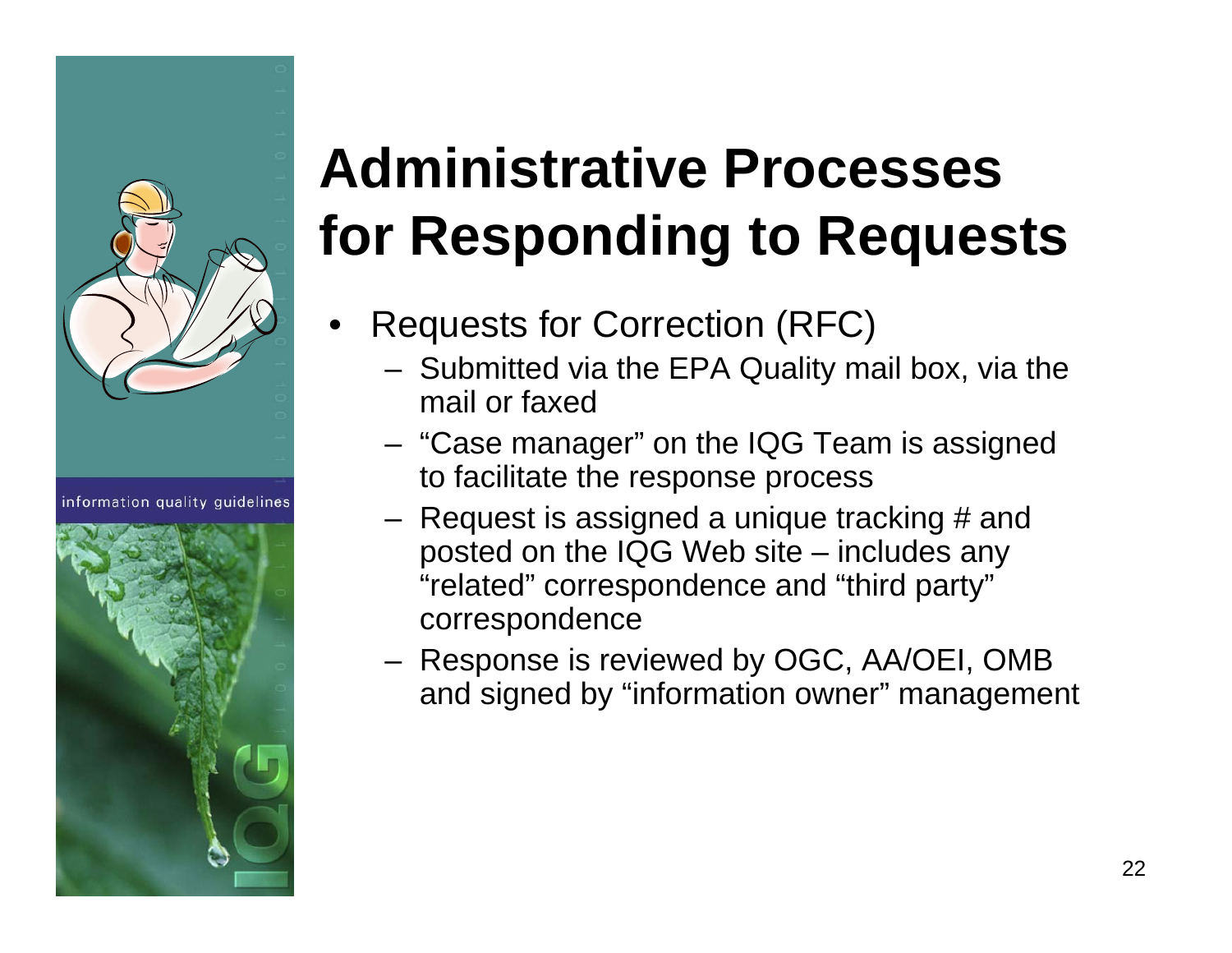

information quality quidelines



# **Administrative Processes for Responding to Requests**

- • Requests for Correction (RFC)
	- Submitted via the EPA Quality mail box, via the mail or faxed
	- "Case manager" on the IQG Team is assigned to facilitate the response process
	- Request is assigned a unique tracking # and posted on the IQG Web site – includes any "related" correspondence and "third party" correspondence
	- Response is reviewed by OGC, AA/OEI, OMB and signed by "information owner" management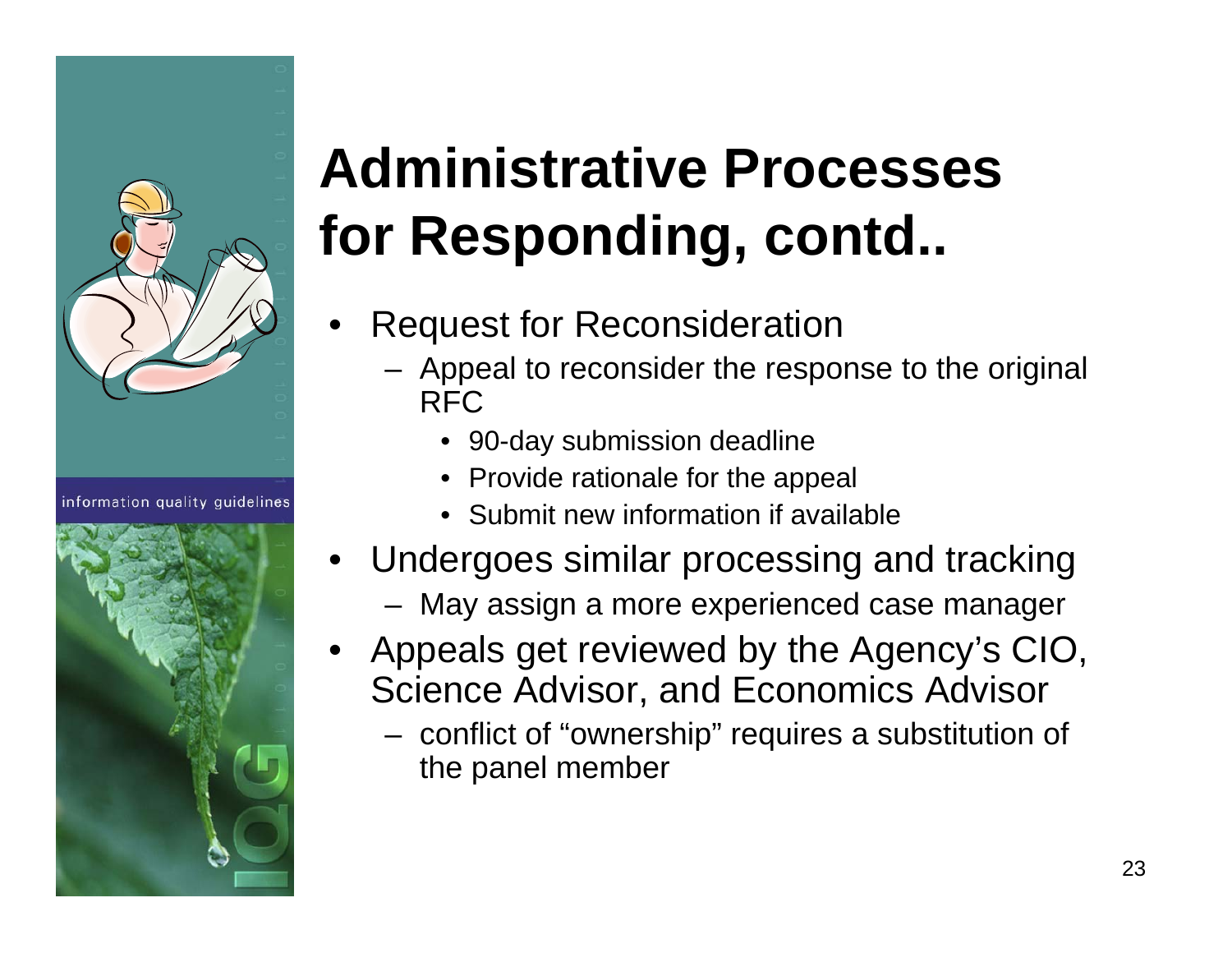

information quality quidelines



# **Administrative Processes for Responding, contd..**

- • Request for Reconsideration
	- Appeal to reconsider the response to the original RFC
		- 90-day submission deadline
		- Provide rationale for the appeal
		- Submit new information if available
- • Undergoes similar processing and tracking
	- May assign a more experienced case manager
- • Appeals get reviewed by the Agency's CIO, Science Advisor, and Economics Advisor
	- conflict of "ownership" requires a substitution of the panel member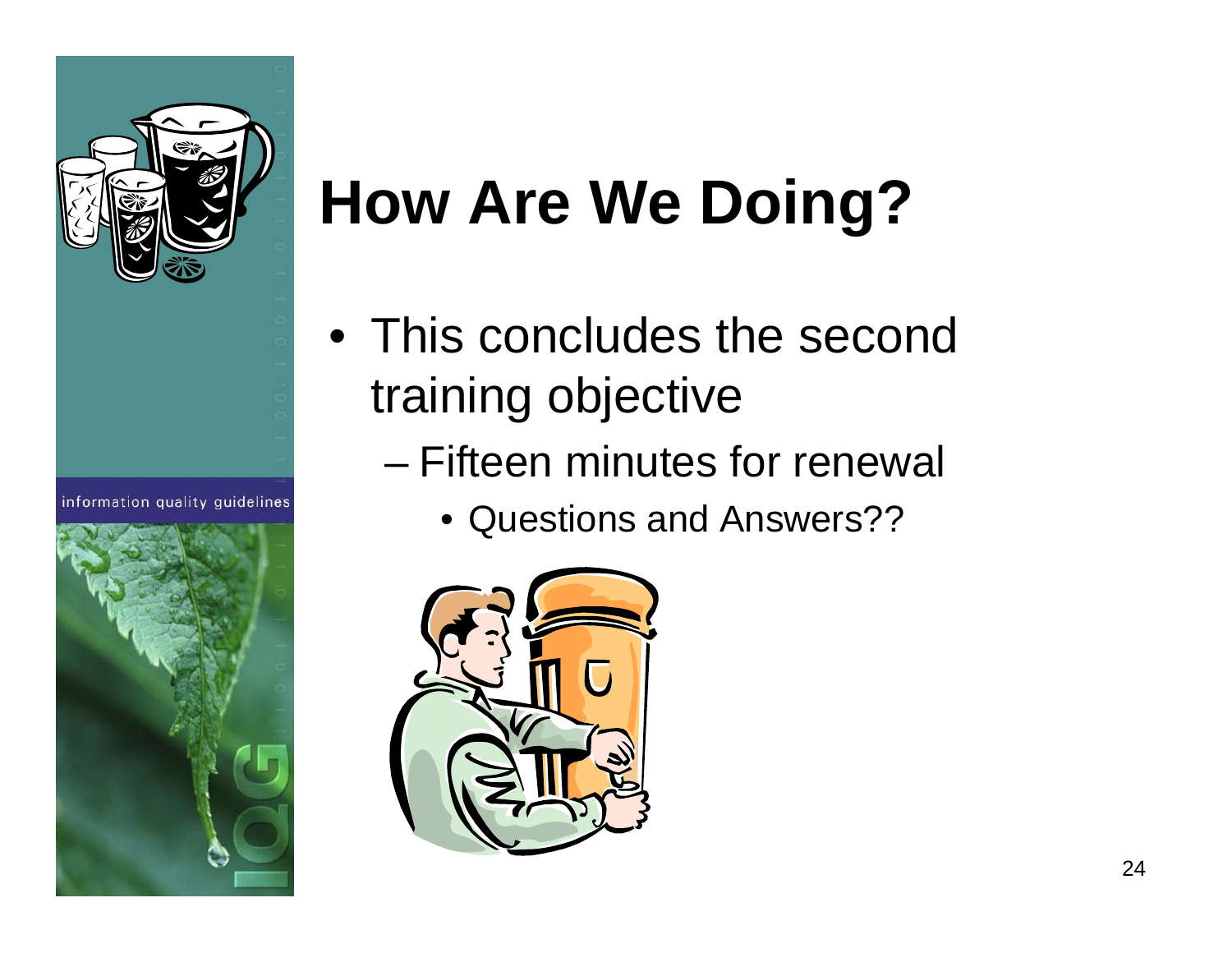

information quality quidelines



# **How Are We Doing?**

- This concludes the second training objective
	- Fifteen minutes for renewal
		- Questions and Answers??

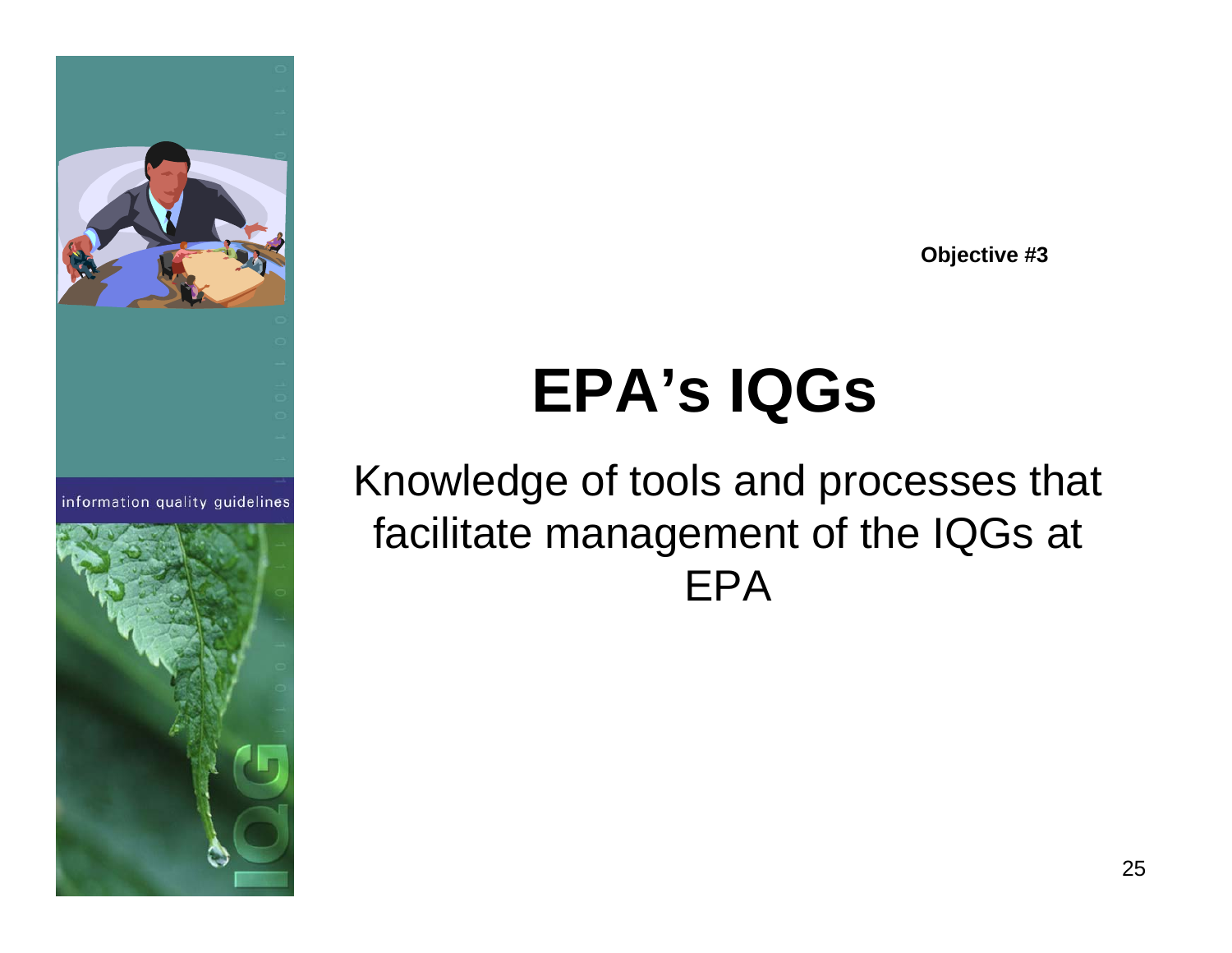

information quality guidelines



**Objective #3**

# **EPA's IQGs**

#### Knowledge of tools and processes that facilitate management of the IQGs at EPA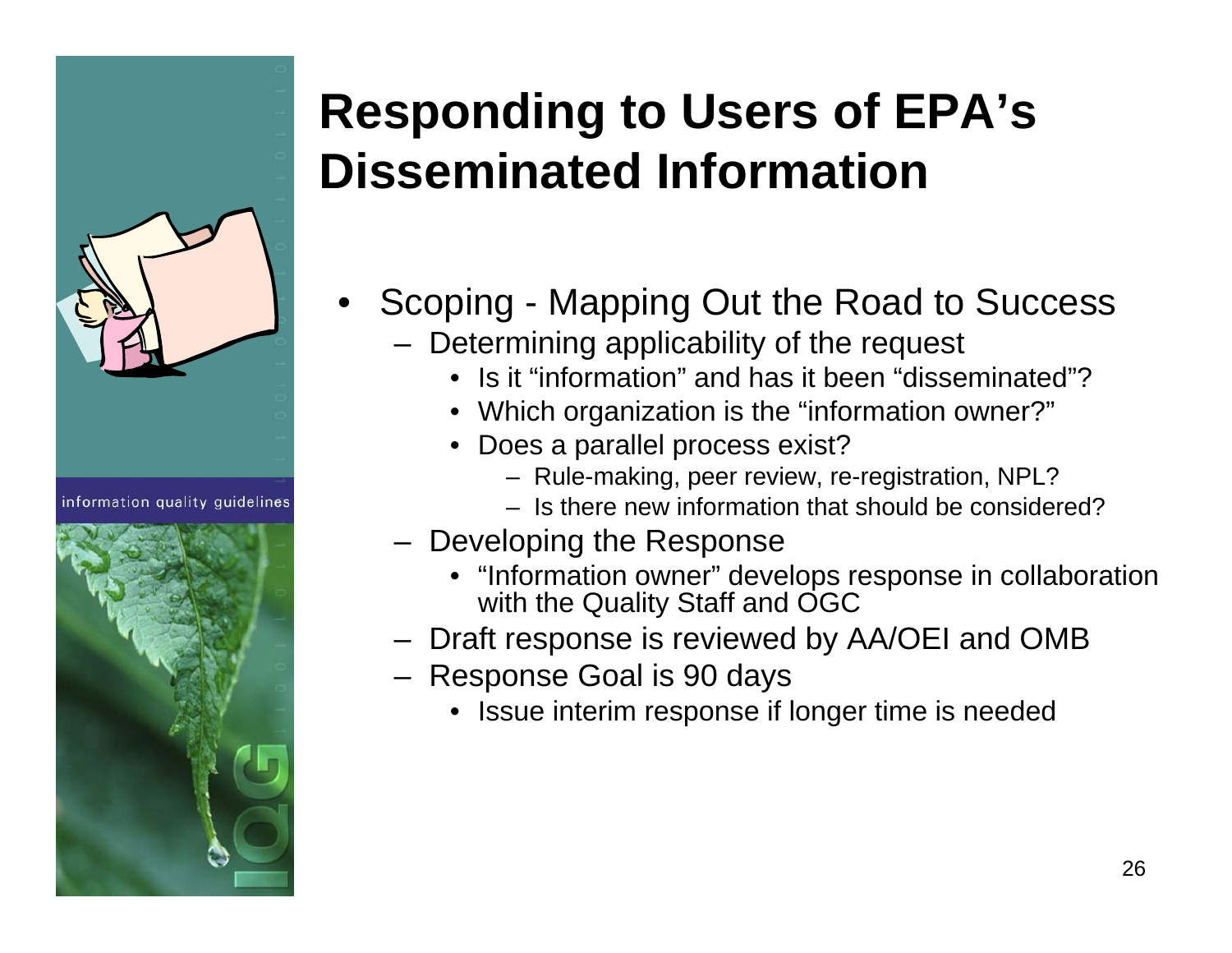

information quality quidelines



#### **Responding to Users of EPA's Disseminated Information**

- • Scoping - Mapping Out the Road to Success
	- Determining applicability of the request
		- Is it "information" and has it been "disseminated"?
		- Which organization is the "information owner?"
		- Does a parallel process exist?
			- Rule-making, peer review, re-registration, NPL?
			- Is there new information that should be considered?
	- Developing the Response
		- "Information owner" develops response in collaboration with the Quality Staff and OGC
	- Draft response is reviewed by AA/OEI and OMB
	- Response Goal is 90 days
		- Issue interim response if longer time is needed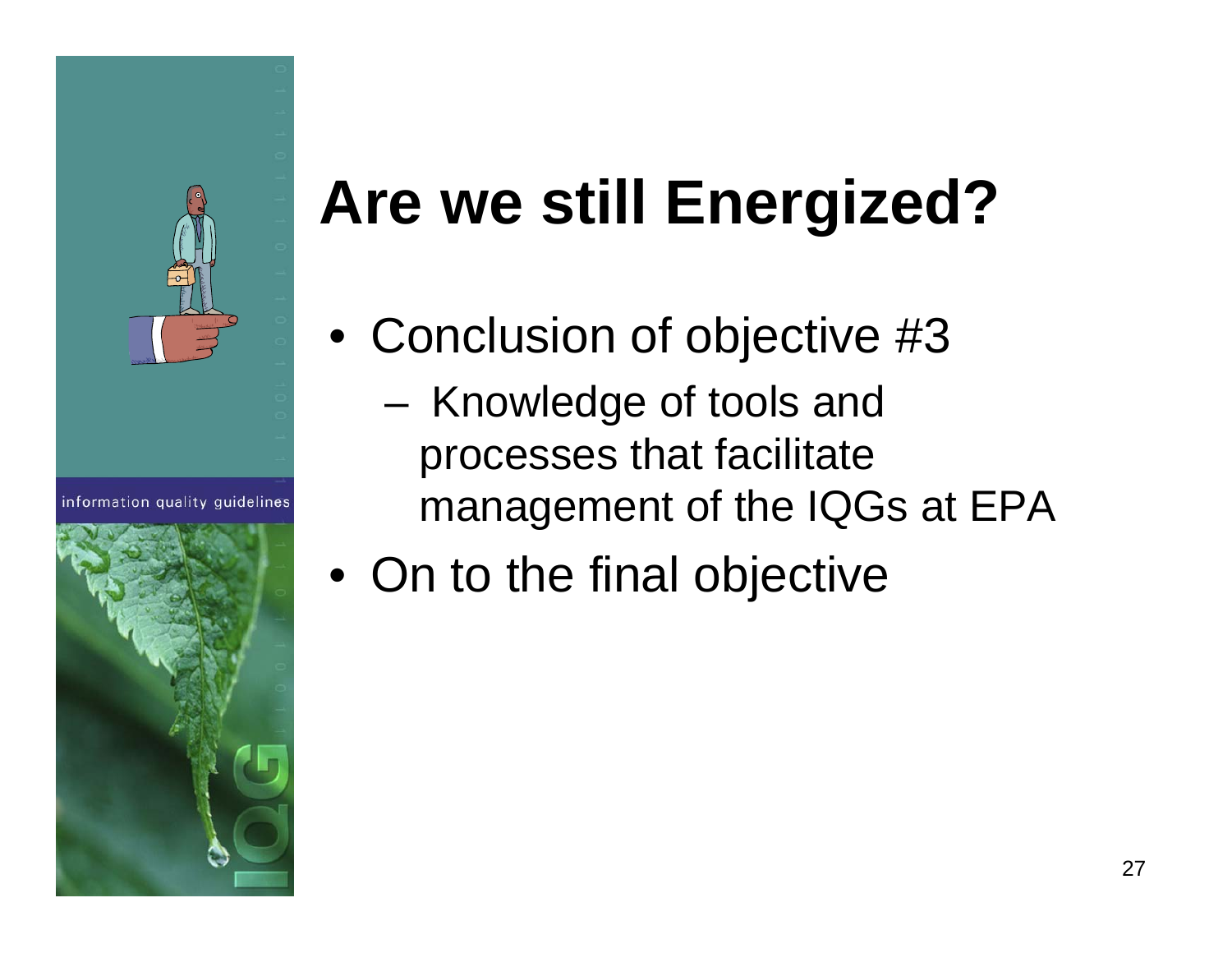

information quality quidelines



# **Are we still Energized?**

- Conclusion of objective #3 Knowledge of tools and processes that facilitate management of the IQGs at EPA
- On to the final objective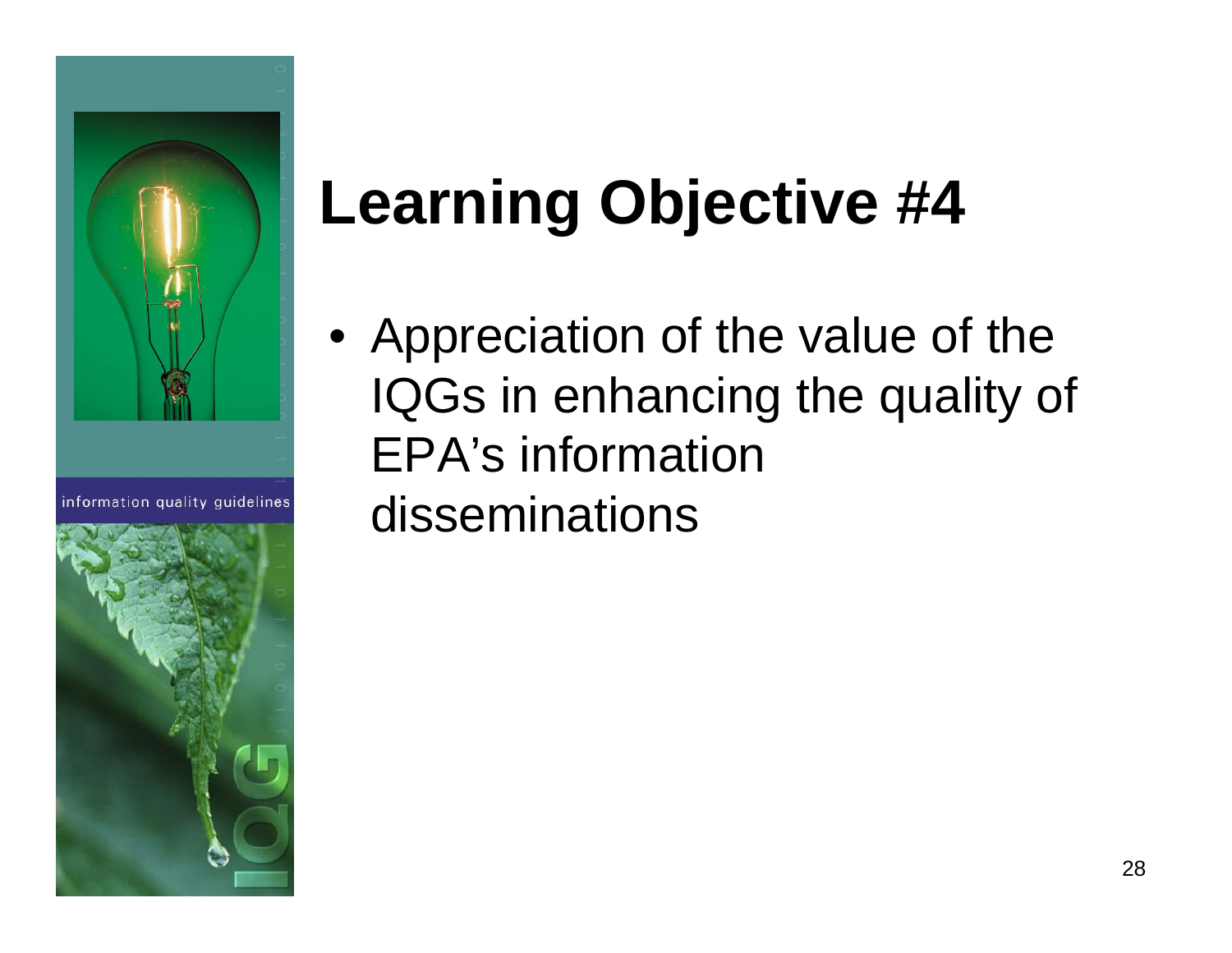

information quality quidelines



# **Learning Objective #4**

• Appreciation of the value of the IQGs in enhancing the quality of EPA's information disseminations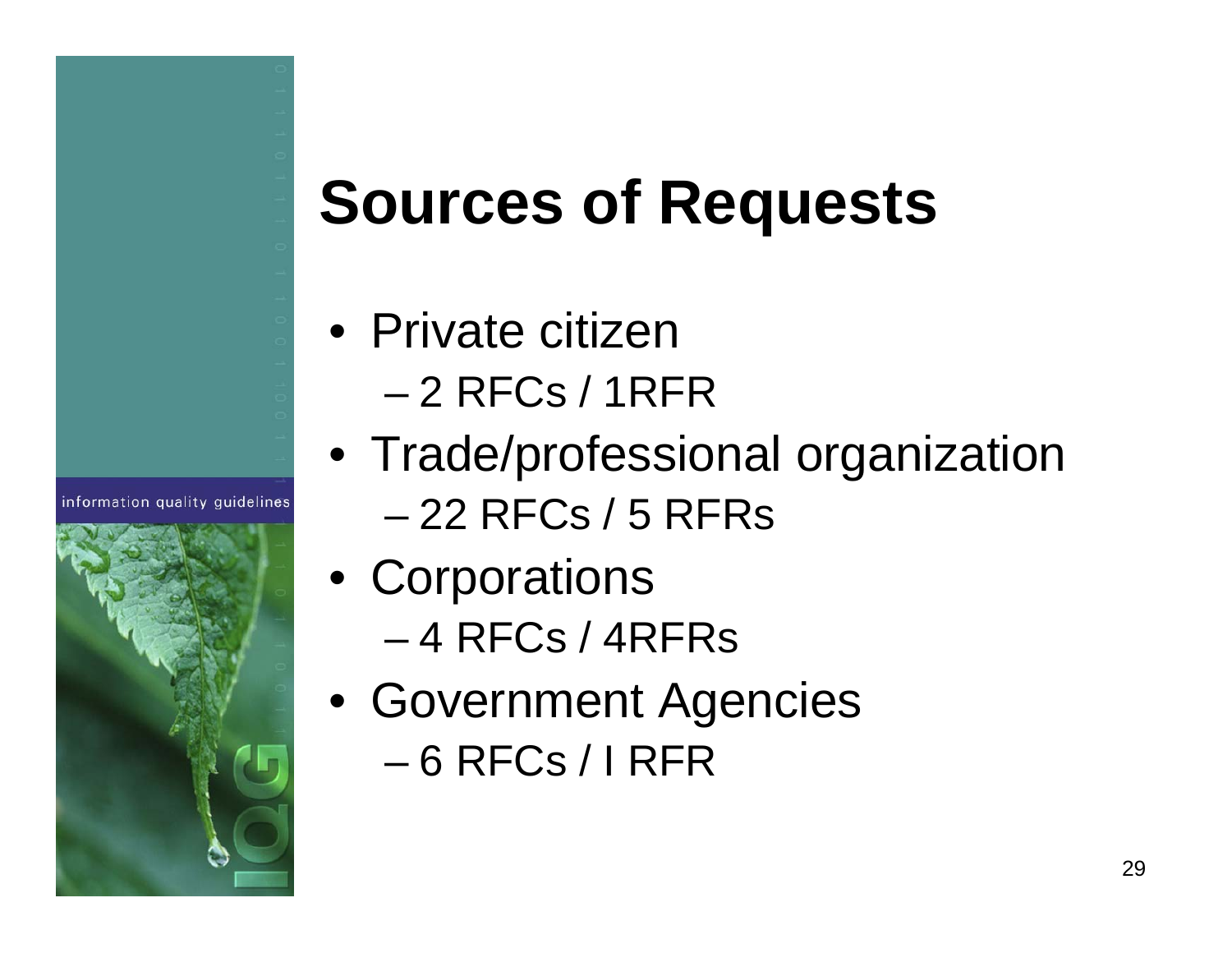# **Sources of Requests**

• Private citizen– 2 RFCs / 1RFR

- Trade/professional organization – 22 RFCs / 5 RFRs
- Corporations – 4 RFCs / 4RFRs
- Government Agencies – 6 RFCs / I RFR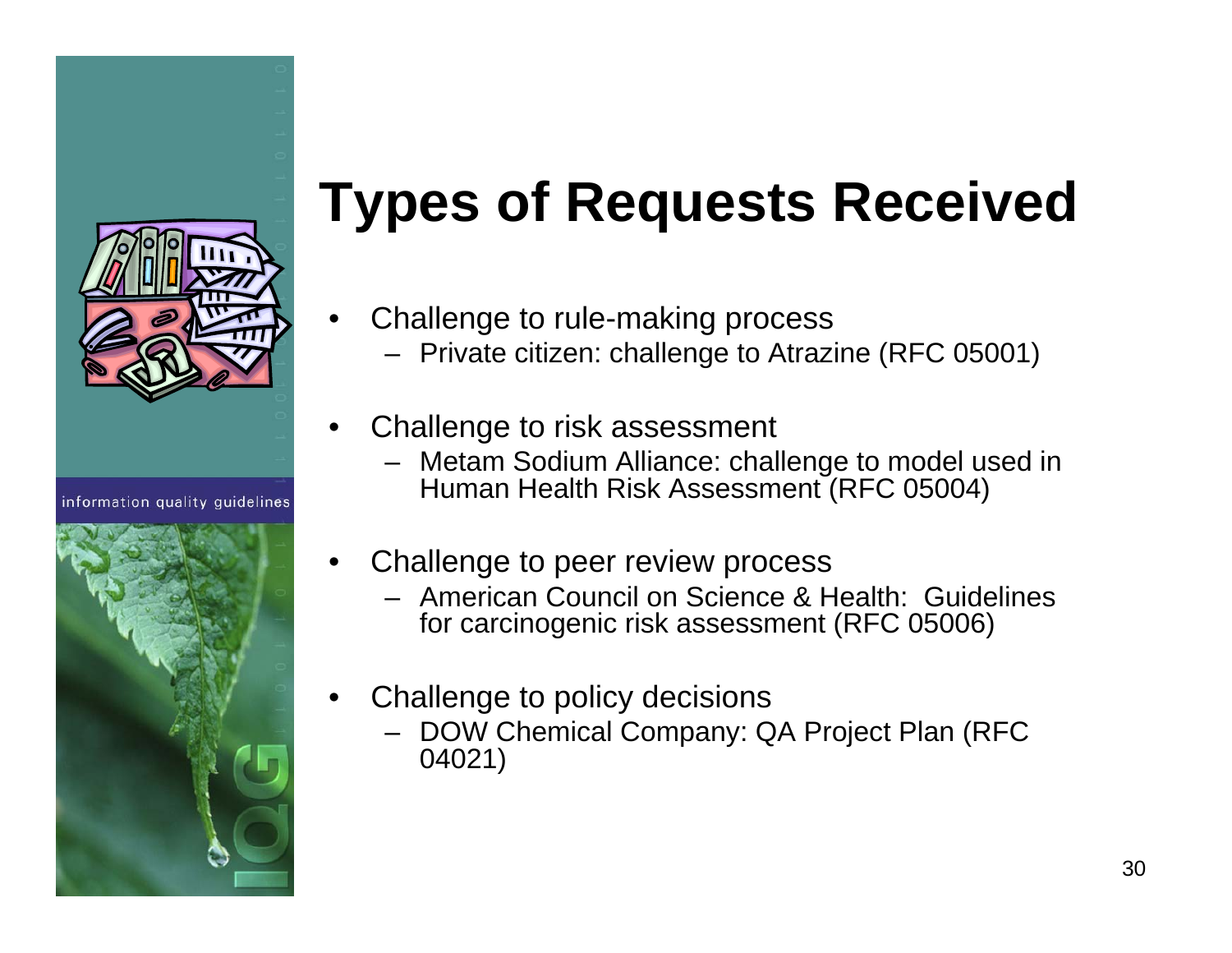

information quality quidelines



# **Types of Requests Received**

- • Challenge to rule-making process
	- Private citizen: challenge to Atrazine (RFC 05001)
- • Challenge to risk assessment
	- Metam Sodium Alliance: challenge to model used in Human Health Risk Assessment (RFC 05004)
- • Challenge to peer review process
	- American Council on Science & Health: Guidelines for carcinogenic risk assessment (RFC 05006)
- • Challenge to policy decisions
	- DOW Chemical Company: QA Project Plan (RFC 04021)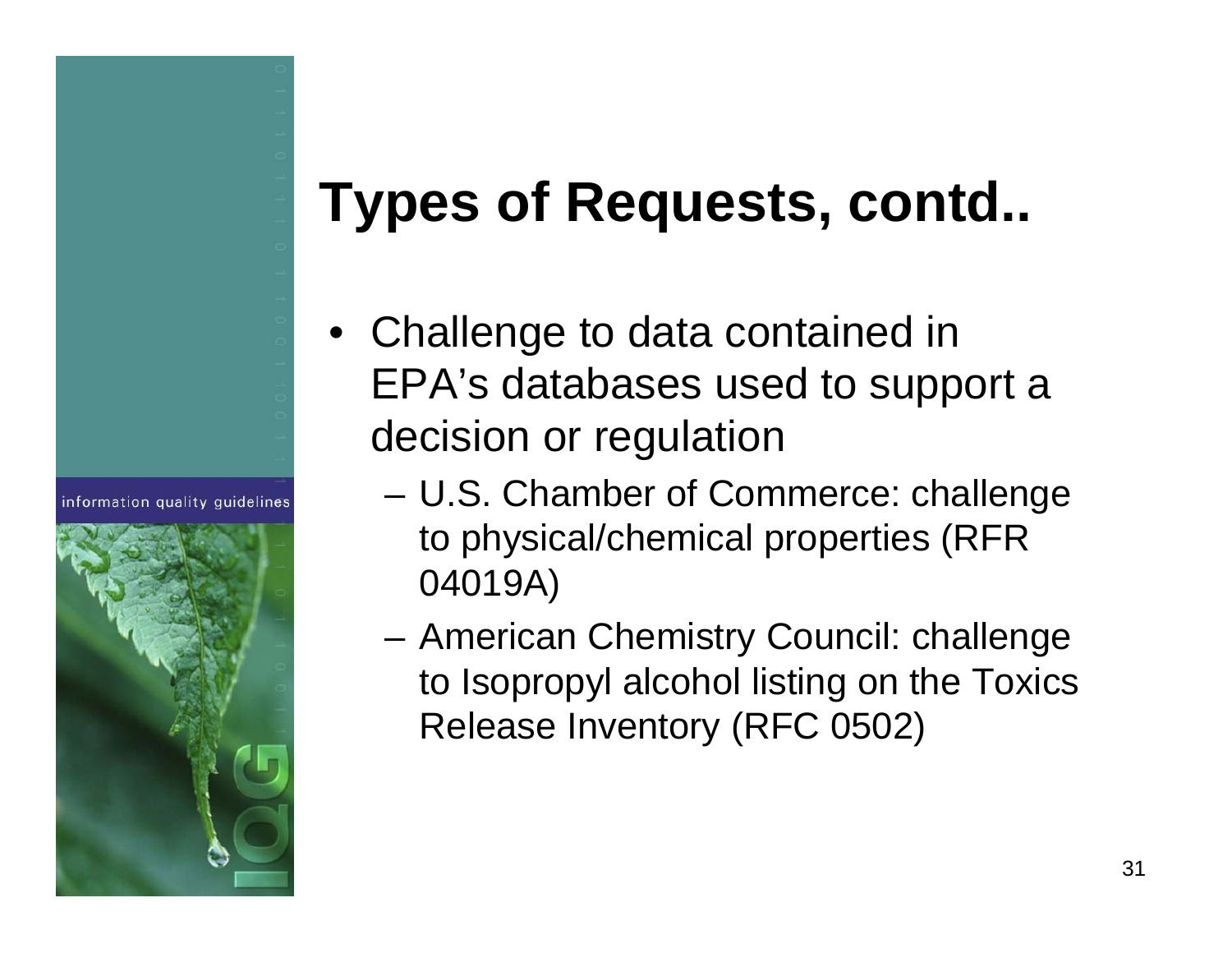### **Types of Requests, contd..**

- Challenge to data contained in EPA's databases used to support a decision or regulation
	- U.S. Chamber of Commerce: challenge to physical/chemical properties (RFR 04019A)
	- American Chemistry Council: challenge to Isopropyl alcohol listing on the Toxics Release Inventory (RFC 0502)



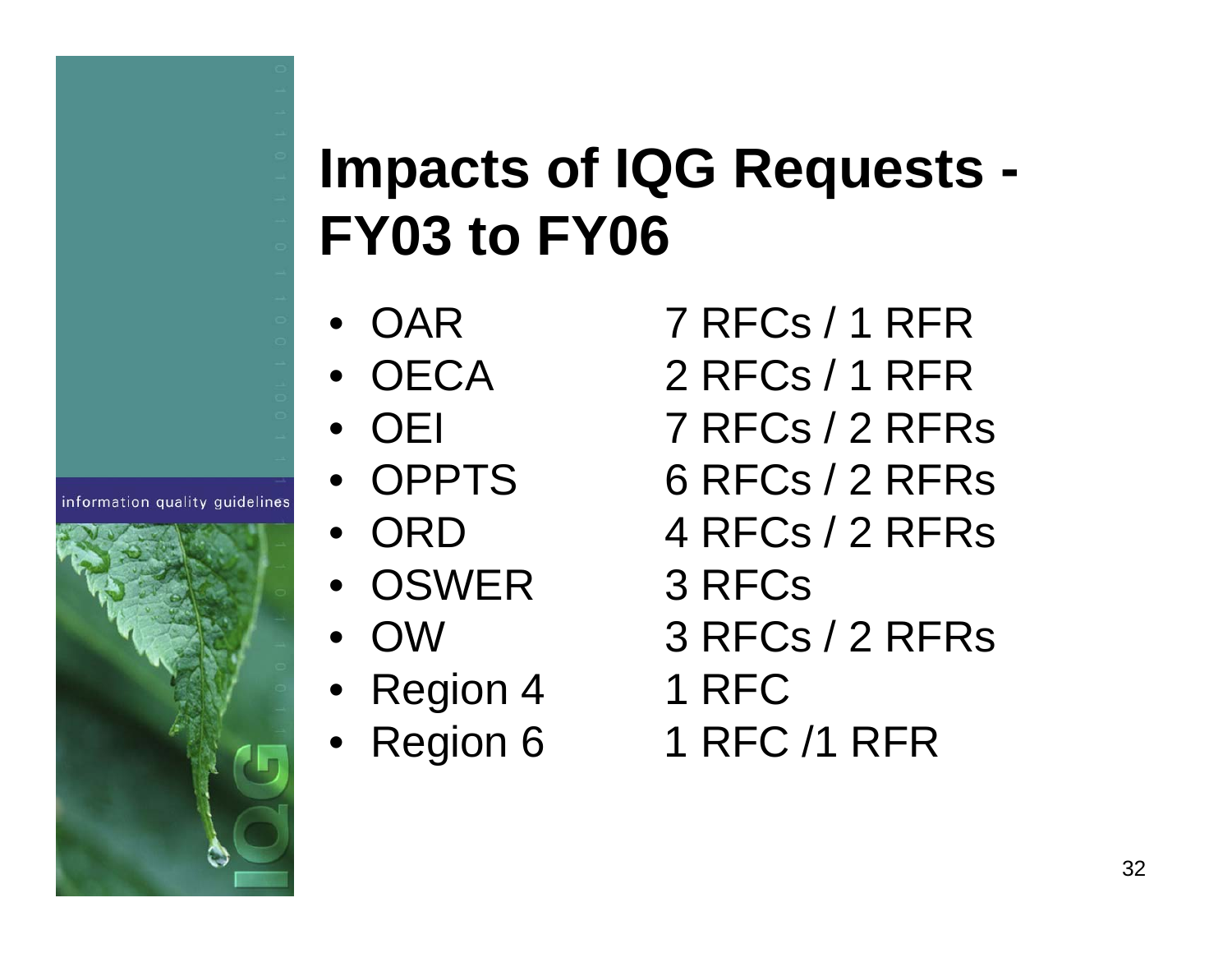### **Impacts of IQG Requests - FY03 to FY06**

- OAR
- OECA
- OEI
- OPPTS
- ORD
- OSWER 3 RFCs
- OW
- Region 4 1 RFC
- Region 6
- 7 RFCs / 1 RFR
- 2 RFCs / 1 RFR
- 7 RFCs / 2 RFRs
- $6$  RFCs  $/$  2 RFRs
- 4 RFCs / 2 RFRs
- 
- 3 RFCs / 2 RFRs
- 
- 1 RFC /1 RFR

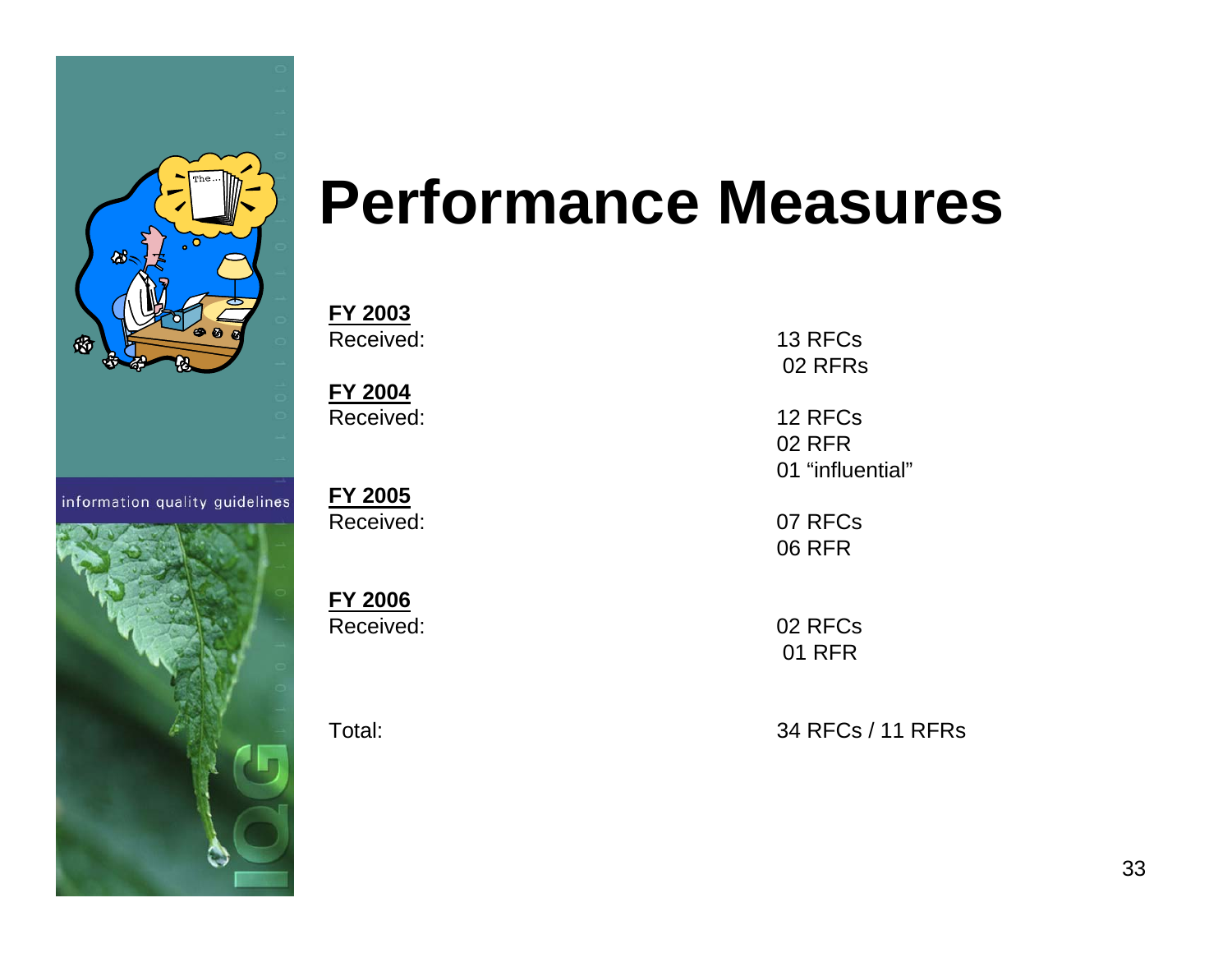

information quality guidelines



# **Performance Measures**

**FY 2003** Received:

**FY 2004** Received:

**FY 2005** Received:

**FY 2006** Received:

Total:

 13 RFCs02 RFRs

 12 RFCs02 RFR01 "influential"

 07 RFCs06 RFR

 02 RFCs01 RFR

34 RFCs / 11 RFRs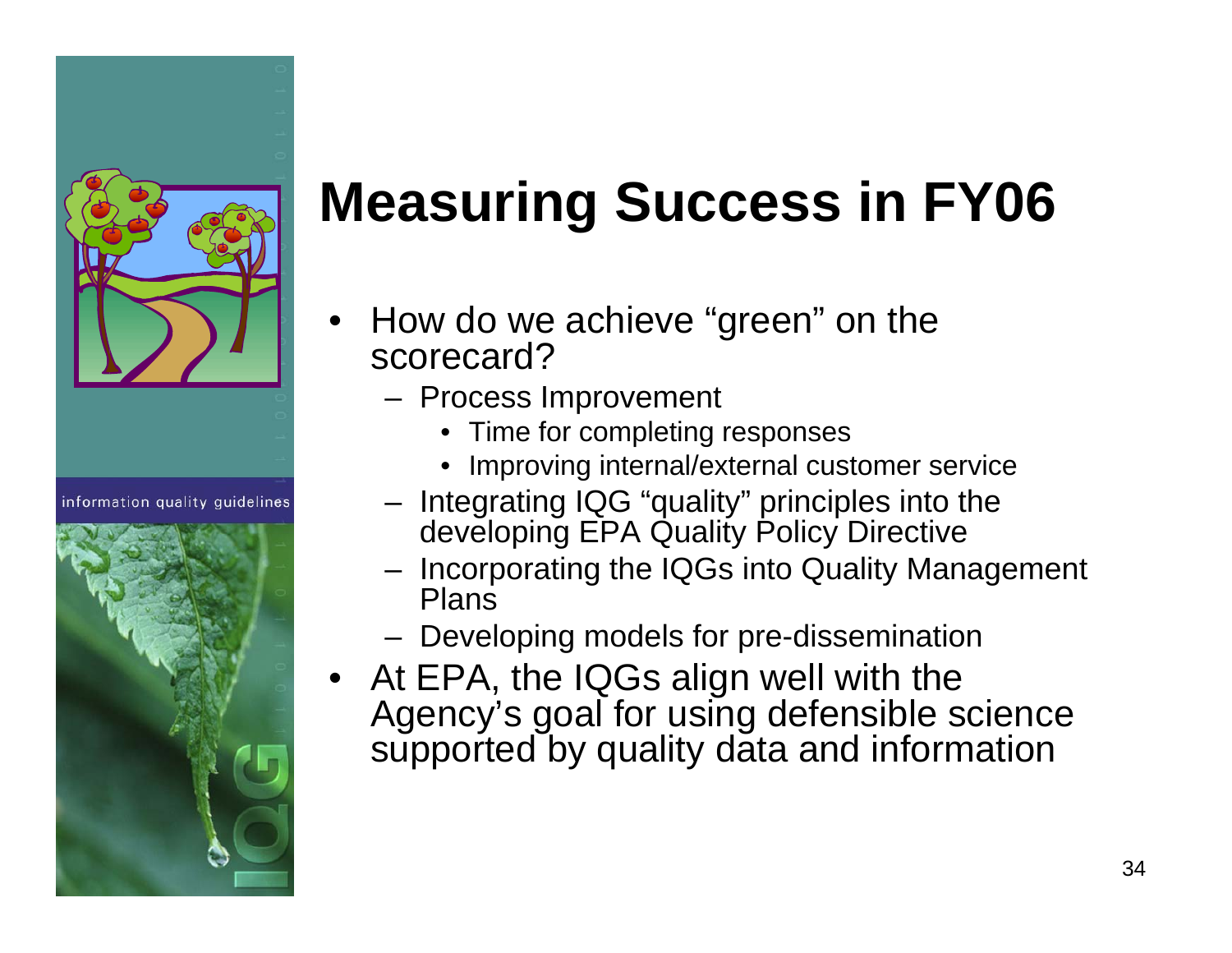

information quality quidelines



# **Measuring Success in FY06**

- • How do we achieve "green" on the scorecard?
	- Process Improvement
		- Time for completing responses
		- Improving internal/external customer service
	- Integrating IQG "quality" principles into the developing EPA Quality Policy Directive
	- Incorporating the IQGs into Quality Management Plans
	- Developing models for pre-dissemination
- At EPA, the IQGs align well with the Agency's goal for using defensible science supported by quality data and information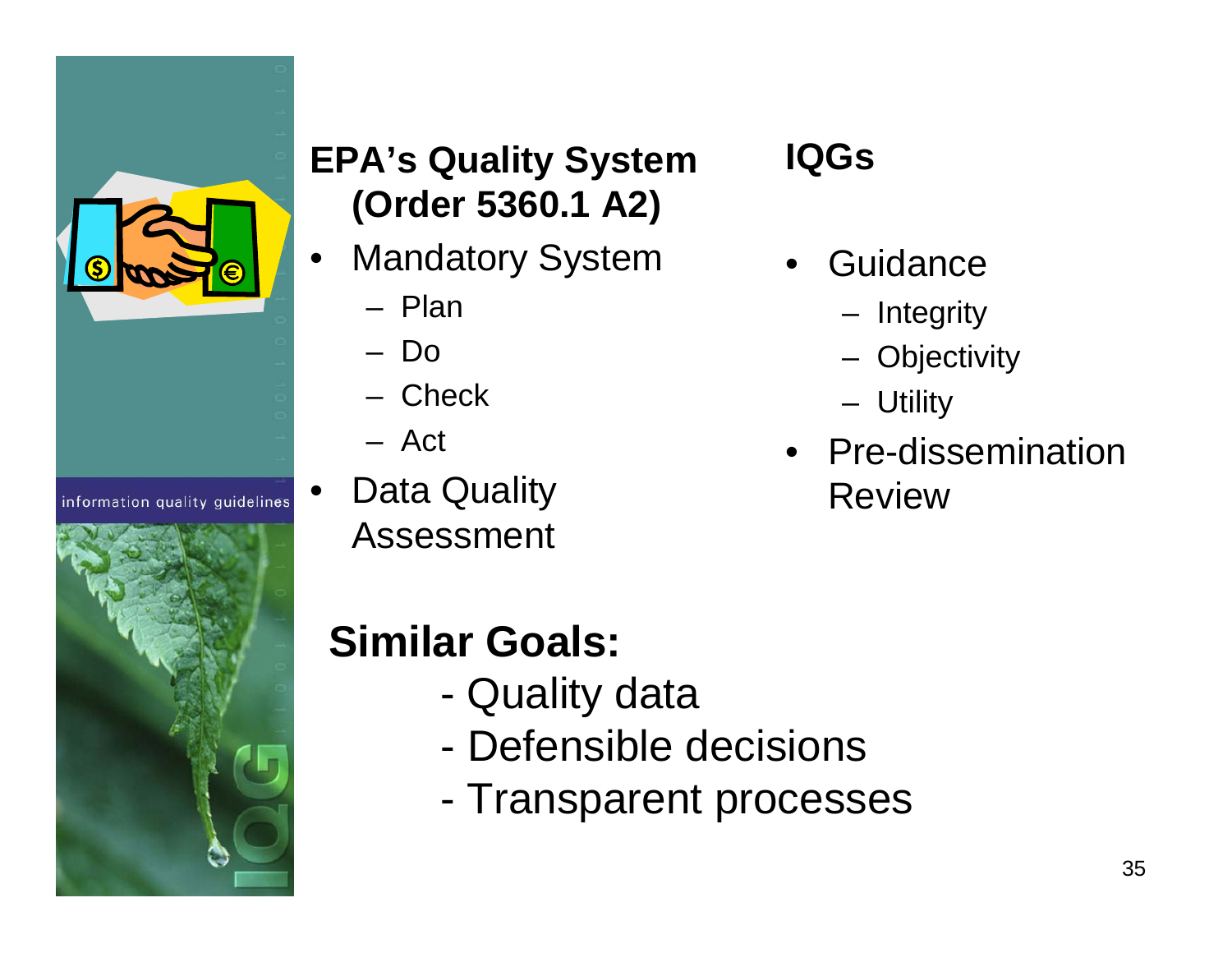

information quality guidelines



#### **EPA's Quality System (Order 5360.1 A2)**

- • Mandatory System
	- Plan
	- Do
	- Check
	- Act

•

 Data Quality Assessment

#### **IQGs**

- •**Guidance** 
	- –Integrity
	- –**Objectivity**
	- –**Utility**
- Pre-dissemination Review

#### **Similar Goals:**

- Quality data
- Defensible decisions
- -Transparent processes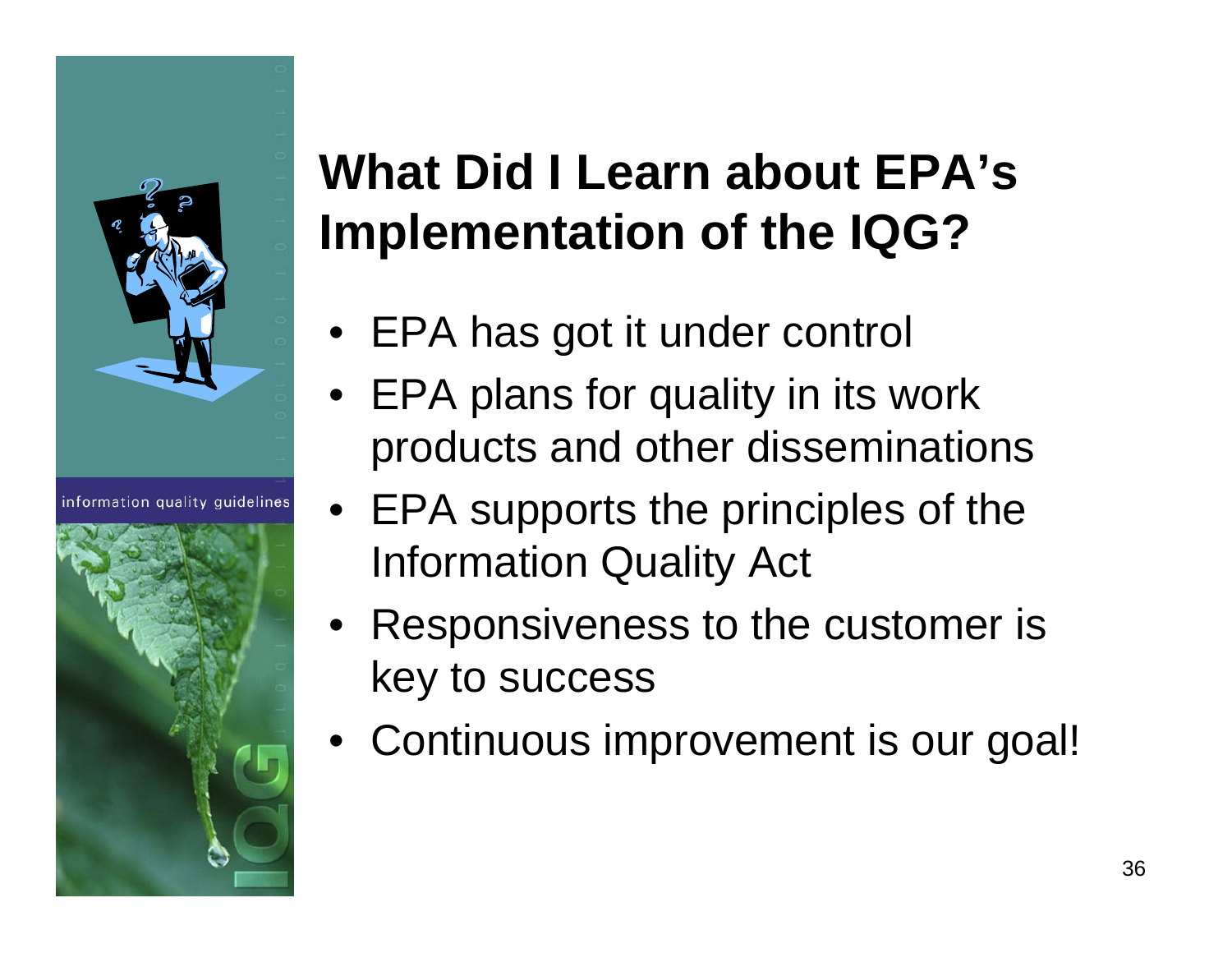

information quality quidelines



#### **What Did I Learn about EPA's Implementation of the IQG?**

- EPA has got it under control
- EPA plans for quality in its work products and other disseminations
- EPA supports the principles of the Information Quality Act
- Responsiveness to the customer is key to success
- Continuous improvement is our goal!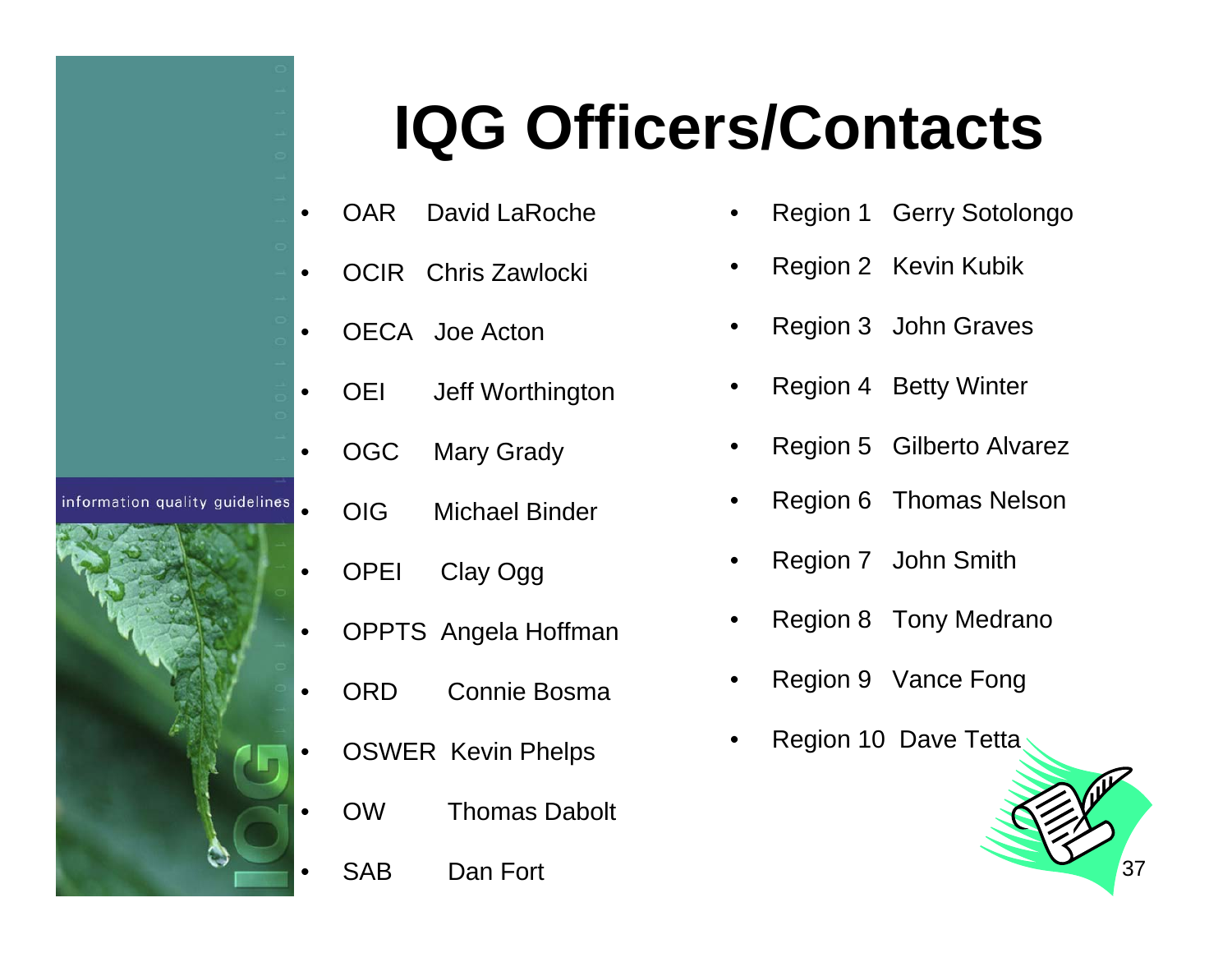# **IQG Officers/Contacts**

- •OAR David LaRoche
- •OCIR Chris Zawlocki
- •OECA Joe Acton

•

•

•

information quality quidelines

•

•

- OEI Jeff Worthington
- OGC Mary Grady
	- OIG Michael Binder
- •OPEI Clay Ogg
- •OPPTS Angela Hoffman
- •ORD Connie Bosma
- • OSWER Kevin Phelps
	- OW Thomas Dabolt
	- SAB Dan Fort
- •Region 1 Gerry Sotolongo
- •Region 2 Kevin Kubik
- •Region 3 John Graves
- •Region 4 Betty Winter
- •Region 5 Gilberto Alvarez
- •Region 6 Thomas Nelson
- •Region 7 John Smith
- •Region 8 Tony Medrano
- •Region 9 Vance Fong
- •Region 10 Dave Tetta